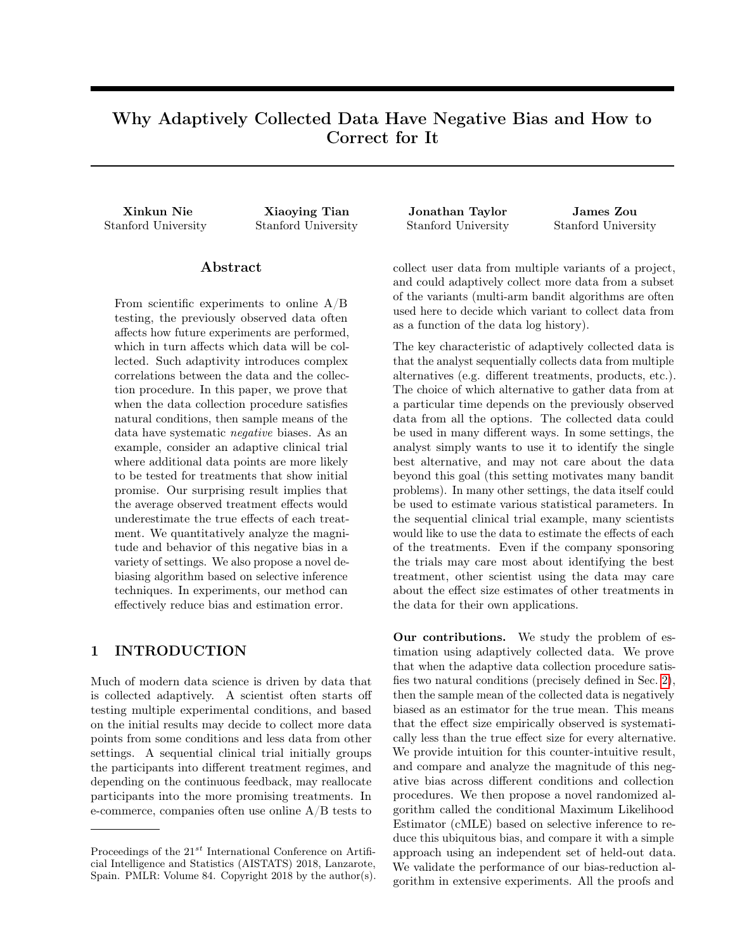# Why Adaptively Collected Data Have Negative Bias and How to Correct for It

Stanford University Stanford University Stanford University Stanford University

## Abstract

From scientific experiments to online A/B testing, the previously observed data often affects how future experiments are performed, which in turn affects which data will be collected. Such adaptivity introduces complex correlations between the data and the collection procedure. In this paper, we prove that when the data collection procedure satisfies natural conditions, then sample means of the data have systematic negative biases. As an example, consider an adaptive clinical trial where additional data points are more likely to be tested for treatments that show initial promise. Our surprising result implies that the average observed treatment effects would underestimate the true effects of each treatment. We quantitatively analyze the magnitude and behavior of this negative bias in a variety of settings. We also propose a novel debiasing algorithm based on selective inference techniques. In experiments, our method can effectively reduce bias and estimation error.

### 1 INTRODUCTION

Much of modern data science is driven by data that is collected adaptively. A scientist often starts off testing multiple experimental conditions, and based on the initial results may decide to collect more data points from some conditions and less data from other settings. A sequential clinical trial initially groups the participants into different treatment regimes, and depending on the continuous feedback, may reallocate participants into the more promising treatments. In e-commerce, companies often use online A/B tests to

Xinkun Nie Xiaoying Tian Jonathan Taylor James Zou

collect user data from multiple variants of a project, and could adaptively collect more data from a subset of the variants (multi-arm bandit algorithms are often used here to decide which variant to collect data from as a function of the data log history).

The key characteristic of adaptively collected data is that the analyst sequentially collects data from multiple alternatives (e.g. different treatments, products, etc.). The choice of which alternative to gather data from at a particular time depends on the previously observed data from all the options. The collected data could be used in many different ways. In some settings, the analyst simply wants to use it to identify the single best alternative, and may not care about the data beyond this goal (this setting motivates many bandit problems). In many other settings, the data itself could be used to estimate various statistical parameters. In the sequential clinical trial example, many scientists would like to use the data to estimate the effects of each of the treatments. Even if the company sponsoring the trials may care most about identifying the best treatment, other scientist using the data may care about the effect size estimates of other treatments in the data for their own applications.

Our contributions. We study the problem of estimation using adaptively collected data. We prove that when the adaptive data collection procedure satisfies two natural conditions (precisely defined in Sec. [2\)](#page-1-0), then the sample mean of the collected data is negatively biased as an estimator for the true mean. This means that the effect size empirically observed is systematically less than the true effect size for every alternative. We provide intuition for this counter-intuitive result, and compare and analyze the magnitude of this negative bias across different conditions and collection procedures. We then propose a novel randomized algorithm called the conditional Maximum Likelihood Estimator (cMLE) based on selective inference to reduce this ubiquitous bias, and compare it with a simple approach using an independent set of held-out data. We validate the performance of our bias-reduction algorithm in extensive experiments. All the proofs and

Proceedings of the  $21^{st}$  International Conference on Artificial Intelligence and Statistics (AISTATS) 2018, Lanzarote, Spain. PMLR: Volume 84. Copyright 2018 by the author(s).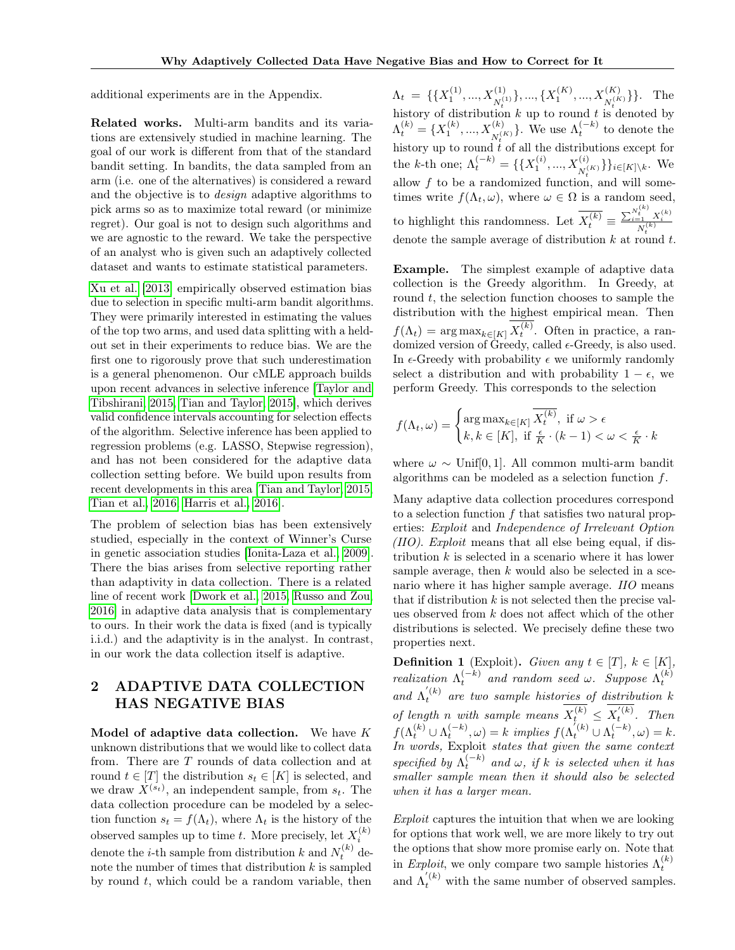additional experiments are in the Appendix.

Related works. Multi-arm bandits and its variations are extensively studied in machine learning. The goal of our work is different from that of the standard bandit setting. In bandits, the data sampled from an arm (i.e. one of the alternatives) is considered a reward and the objective is to design adaptive algorithms to pick arms so as to maximize total reward (or minimize regret). Our goal is not to design such algorithms and we are agnostic to the reward. We take the perspective of an analyst who is given such an adaptively collected dataset and wants to estimate statistical parameters.

[Xu et al.](#page-8-0) [\[2013\]](#page-8-0) empirically observed estimation bias due to selection in specific multi-arm bandit algorithms. They were primarily interested in estimating the values of the top two arms, and used data splitting with a heldout set in their experiments to reduce bias. We are the first one to rigorously prove that such underestimation is a general phenomenon. Our cMLE approach builds upon recent advances in selective inference [\[Taylor and](#page-8-1) [Tibshirani, 2015,](#page-8-1) [Tian and Taylor, 2015\]](#page-8-2), which derives valid confidence intervals accounting for selection effects of the algorithm. Selective inference has been applied to regression problems (e.g. LASSO, Stepwise regression), and has not been considered for the adaptive data collection setting before. We build upon results from recent developments in this area [\[Tian and Taylor, 2015,](#page-8-2) [Tian et al., 2016,](#page-8-3) [Harris et al., 2016\]](#page-8-4).

The problem of selection bias has been extensively studied, especially in the context of Winner's Curse in genetic association studies [\[Ionita-Laza et al., 2009\]](#page-8-5). There the bias arises from selective reporting rather than adaptivity in data collection. There is a related line of recent work [\[Dwork et al., 2015,](#page-8-6) [Russo and Zou,](#page-8-7) [2016\]](#page-8-7) in adaptive data analysis that is complementary to ours. In their work the data is fixed (and is typically i.i.d.) and the adaptivity is in the analyst. In contrast, in our work the data collection itself is adaptive.

## <span id="page-1-0"></span>2 ADAPTIVE DATA COLLECTION HAS NEGATIVE BIAS

Model of adaptive data collection. We have  $K$ unknown distributions that we would like to collect data from. There are T rounds of data collection and at round  $t \in [T]$  the distribution  $s_t \in [K]$  is selected, and we draw  $X^{(s_t)}$ , an independent sample, from  $s_t$ . The data collection procedure can be modeled by a selection function  $s_t = f(\Lambda_t)$ , where  $\Lambda_t$  is the history of the observed samples up to time t. More precisely, let  $X_i^{(k)}$ denote the *i*-th sample from distribution  $k$  and  $N_t^{(k)}$  denote the number of times that distribution  $k$  is sampled by round  $t$ , which could be a random variable, then

 $\Lambda_t = \{ \{X_1^{(1)}, ..., X_{N_t^{(1)}}^{(1)}\}, ..., \{X_1^{(K)}, ..., X_{N_t^{(K)}}^{(K)}\} \}.$  The history of distribution k up to round t is denoted by  $\Lambda_t^{(k)} = \{X_1^{(k)}, ..., X_{N^{(K)}}^{(k)}\}.$  We use  $\Lambda_t^{(-k)}$  to denote the history up to round t of all the distributions except for the k-th one;  $\Lambda_t^{(-k)} = \{\{X_1^{(i)}, ..., X_{N_t^{(K)}}^{(i)}\}\}_{i \in [K] \setminus k}$ . We allow  $f$  to be a randomized function, and will sometimes write  $f(\Lambda_t, \omega)$ , where  $\omega \in \Omega$  is a random seed, to highlight this randomness. Let  $\overline{X_t^{(k)}} \equiv \frac{\sum_{i=1}^{N_t^{(k)}} X_i^{(k)}}{N_t^{(k)}}$ denote the sample average of distribution k at round t.

Example. The simplest example of adaptive data collection is the Greedy algorithm. In Greedy, at round  $t$ , the selection function chooses to sample the distribution with the highest empirical mean. Then  $f(\Lambda_t) = \arg \max_{k \in [K]} X_t^{(k)}$ . Often in practice, a randomized version of Greedy, called  $\epsilon$ -Greedy, is also used. In  $\epsilon$ -Greedy with probability  $\epsilon$  we uniformly randomly select a distribution and with probability  $1 - \epsilon$ , we perform Greedy. This corresponds to the selection

$$
f(\Lambda_t, \omega) = \begin{cases} \arg \max_{k \in [K]} \overline{X_t^{(k)}}, \text{ if } \omega > \epsilon \\ k, k \in [K], \text{ if } \frac{\epsilon}{K} \cdot (k-1) < \omega < \frac{\epsilon}{K} \cdot k \end{cases}
$$

where  $\omega \sim$  Unif[0, 1]. All common multi-arm bandit algorithms can be modeled as a selection function f.

Many adaptive data collection procedures correspond to a selection function  $f$  that satisfies two natural properties: Exploit and Independence of Irrelevant Option (IIO). Exploit means that all else being equal, if distribution  $k$  is selected in a scenario where it has lower sample average, then  $k$  would also be selected in a scenario where it has higher sample average. IIO means that if distribution  $k$  is not selected then the precise values observed from k does not affect which of the other distributions is selected. We precisely define these two properties next.

**Definition 1** (Exploit). Given any  $t \in [T]$ ,  $k \in [K]$ , *realization*  $\Lambda_t^{(-k)}$  *and random seed*  $\omega$ . Suppose  $\Lambda_t^{(k)}$ and  $\Lambda_t^{(k)}$  are two sample histories of distribution k of length n with sample means  $X_t^{(k)} \leq X_t^{'(k)}$ . Then  $f(\Lambda_t^{(k)} \cup \Lambda_t^{(-k)}, \omega) = k \implies f(\Lambda_t^{(k)} \cup \Lambda_t^{(-k)}, \omega) = k.$ In words, Exploit states that given the same context specified by  $\Lambda_t^{(-k)}$  and  $\omega$ , if k is selected when it has smaller sample mean then it should also be selected when it has a larger mean.

Exploit captures the intuition that when we are looking for options that work well, we are more likely to try out the options that show more promise early on. Note that in *Exploit*, we only compare two sample histories  $\Lambda_t^{(k)}$ and  $\Lambda_t^{'(k)}$  with the same number of observed samples.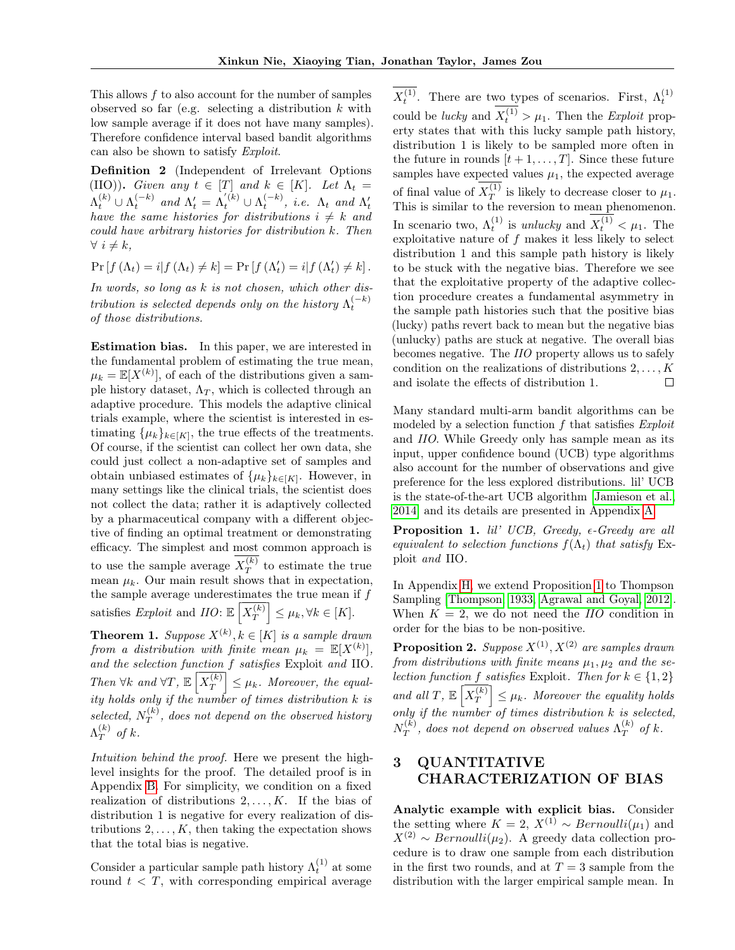This allows f to also account for the number of samples observed so far (e.g. selecting a distribution  $k$  with low sample average if it does not have many samples). Therefore confidence interval based bandit algorithms can also be shown to satisfy Exploit.

Definition 2 (Independent of Irrelevant Options (IIO)). Given any  $t \in [T]$  and  $k \in [K]$ . Let  $\Lambda_t =$  $\Lambda_t^{(k)} \cup \Lambda_t^{(-k)}$  and  $\Lambda_t' = \Lambda_t^{'(k)} \cup \Lambda_t^{(-k)}$ , i.e.  $\Lambda_t$  and  $\Lambda_t'$ have the same histories for distributions  $i \neq k$  and could have arbitrary histories for distribution k. Then  $\forall i \neq k,$ 

$$
Pr[f(\Lambda_t) = i | f(\Lambda_t) \neq k] = Pr[f(\Lambda'_t) = i | f(\Lambda'_t) \neq k].
$$

In words, so long as k is not chosen, which other distribution is selected depends only on the history  $\Lambda_t^{(-k)}$ of those distributions.

Estimation bias. In this paper, we are interested in the fundamental problem of estimating the true mean,  $\mu_k = \mathbb{E}[X^{(k)}],$  of each of the distributions given a sample history dataset,  $\Lambda_T$ , which is collected through an adaptive procedure. This models the adaptive clinical trials example, where the scientist is interested in estimating  $\{\mu_k\}_{k\in[K]}$ , the true effects of the treatments. Of course, if the scientist can collect her own data, she could just collect a non-adaptive set of samples and obtain unbiased estimates of  $\{\mu_k\}_{k\in[K]}$ . However, in many settings like the clinical trials, the scientist does not collect the data; rather it is adaptively collected by a pharmaceutical company with a different objective of finding an optimal treatment or demonstrating efficacy. The simplest and most common approach is to use the sample average  $X_T^{(k)}$  $T^{(k)}$  to estimate the true mean  $\mu_k$ . Our main result shows that in expectation, the sample average underestimates the true mean if  $f$ satisfies Exploit and  $IO: \mathbb{E}\left[X_T^{(k)}\right]$  $\begin{bmatrix} \overline{k} \ \overline{T} \end{bmatrix} \leq \mu_k, \forall k \in [K].$ 

<span id="page-2-1"></span>**Theorem 1.** Suppose  $X^{(k)}$ ,  $k \in [K]$  is a sample drawn from a distribution with finite mean  $\mu_k = \mathbb{E}[X^{(k)}],$ and the selection function f satisfies Exploit and IIO. Then  $\forall k \text{ and } \forall T, \mathbb{E} \left[ X_T^{(k)} \right]$  $\left[\frac{k}{T}\right] \leq \mu_k$ . Moreover, the equality holds only if the number of times distribution k is selected,  $N_T^{(k)}$  $T^{(k)}$ , does not depend on the observed history  $\Lambda^{(k)}_T$  $T^{(k)}$  of k.

Intuition behind the proof. Here we present the highlevel insights for the proof. The detailed proof is in Appendix [B.](#page-9-0) For simplicity, we condition on a fixed realization of distributions  $2, \ldots, K$ . If the bias of distribution 1 is negative for every realization of distributions  $2, \ldots, K$ , then taking the expectation shows that the total bias is negative.

Consider a particular sample path history  $\Lambda_t^{(1)}$  at some round  $t < T$ , with corresponding empirical average

 $X_t^{(1)}$ . There are two types of scenarios. First,  $\Lambda_t^{(1)}$ could be *lucky* and  $X_t^{(1)} > \mu_1$ . Then the *Exploit* property states that with this lucky sample path history, distribution 1 is likely to be sampled more often in the future in rounds  $[t + 1, \ldots, T]$ . Since these future samples have expected values  $\mu_1$ , the expected average of final value of  $X_T^{(1)}$  $T^{(1)}$  is likely to decrease closer to  $\mu_1$ . This is similar to the reversion to mean phenomenon. In scenario two,  $\Lambda_t^{(1)}$  is *unlucky* and  $X_t^{(1)} < \mu_1$ . The exploitative nature of f makes it less likely to select distribution 1 and this sample path history is likely to be stuck with the negative bias. Therefore we see that the exploitative property of the adaptive collection procedure creates a fundamental asymmetry in the sample path histories such that the positive bias (lucky) paths revert back to mean but the negative bias (unlucky) paths are stuck at negative. The overall bias becomes negative. The IIO property allows us to safely condition on the realizations of distributions  $2, \ldots, K$ and isolate the effects of distribution 1.  $\Box$ 

Many standard multi-arm bandit algorithms can be modeled by a selection function f that satisfies *Exploit* and IIO. While Greedy only has sample mean as its input, upper confidence bound (UCB) type algorithms also account for the number of observations and give preference for the less explored distributions. lil' UCB is the state-of-the-art UCB algorithm [\[Jamieson et al.,](#page-8-8) [2014\]](#page-8-8) and its details are presented in Appendix [A.](#page-9-1)

<span id="page-2-0"></span>**Proposition 1.** lil' UCB, Greedy,  $\epsilon$ -Greedy are all equivalent to selection functions  $f(\Lambda_t)$  that satisfy Exploit and IIO.

In Appendix [H,](#page-15-0) we extend Proposition [1](#page-2-0) to Thompson Sampling [\[Thompson, 1933,](#page-8-9) [Agrawal and Goyal, 2012\]](#page-8-10). When  $K = 2$ , we do not need the *IIO* condition in order for the bias to be non-positive.

<span id="page-2-2"></span>**Proposition 2.** Suppose  $X^{(1)}$ ,  $X^{(2)}$  are samples drawn from distributions with finite means  $\mu_1, \mu_2$  and the selection function f satisfies Exploit. Then for  $k \in \{1,2\}$ and all T,  $\mathbb{E}\left[X_T^{(k)}\right]$  $\vert \frac{\overline{f(k)}}{T} \vert \leq \mu_k$ . Moreover the equality holds only if the number of times distribution k is selected,  $N_T^{(k)}$  $T^{(k)}_{T},\ does\ not\ depend\ on\ observed\ values\ \Lambda^{(k)}_{T}$  $T^{(k)}$  of k.

## <span id="page-2-3"></span>3 QUANTITATIVE CHARACTERIZATION OF BIAS

Analytic example with explicit bias. Consider the setting where  $K = 2$ ,  $X^{(1)} \sim Bernoulli(\mu_1)$  and  $X^{(2)} \sim Bernoulli(\mu_2)$ . A greedy data collection procedure is to draw one sample from each distribution in the first two rounds, and at  $T = 3$  sample from the distribution with the larger empirical sample mean. In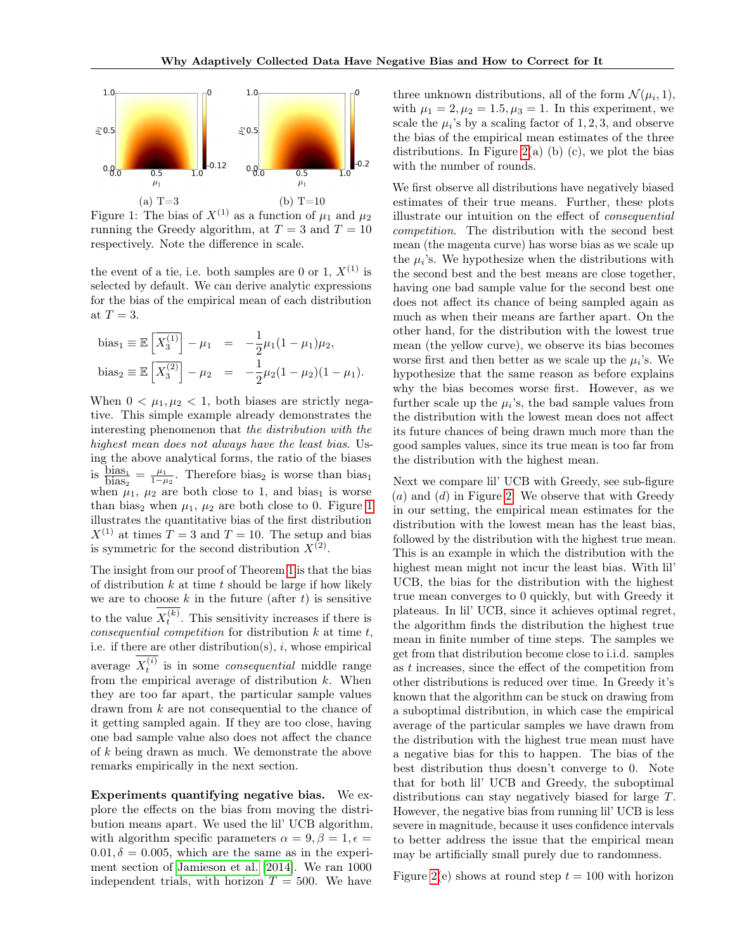<span id="page-3-0"></span>

Figure 1: The bias of  $X^{(1)}$  as a function of  $\mu_1$  and  $\mu_2$ running the Greedy algorithm, at  $T = 3$  and  $T = 10$ respectively. Note the difference in scale.

the event of a tie, i.e. both samples are 0 or 1,  $X^{(1)}$  is selected by default. We can derive analytic expressions for the bias of the empirical mean of each distribution at  $T=3$ .

bias<sub>1</sub> 
$$
\equiv
$$
  $\mathbb{E}\left[\overline{X_3^{(1)}}\right] - \mu_1 = -\frac{1}{2}\mu_1(1-\mu_1)\mu_2,$   
bias<sub>2</sub>  $\equiv$   $\mathbb{E}\left[\overline{X_3^{(2)}}\right] - \mu_2 = -\frac{1}{2}\mu_2(1-\mu_2)(1-\mu_1).$ 

When  $0 < \mu_1, \mu_2 < 1$ , both biases are strictly negative. This simple example already demonstrates the interesting phenomenon that the distribution with the highest mean does not always have the least bias. Using the above analytical forms, the ratio of the biases is  $\frac{\text{bias}_1}{\text{bias}_2} = \frac{\mu_1}{1-\mu_2}$ . Therefore bias<sub>2</sub> is worse than bias<sub>1</sub> when  $\mu_1$ ,  $\mu_2$  are both close to 1, and bias<sub>1</sub> is worse than bias<sub>2</sub> when  $\mu_1$ ,  $\mu_2$  are both close to 0. Figure [1](#page-3-0) illustrates the quantitative bias of the first distribution  $X^{(1)}$  at times  $T = 3$  and  $T = 10$ . The setup and bias is symmetric for the second distribution  $X^{(2)}$ .

The insight from our proof of Theorem [1](#page-2-1) is that the bias of distribution  $k$  at time  $t$  should be large if how likely we are to choose  $k$  in the future (after  $t$ ) is sensitive to the value  $X_t^{(k)}$ . This sensitivity increases if there is consequential competition for distribution  $k$  at time  $t$ , i.e. if there are other distribution(s),  $i$ , whose empirical average  $X_t^{(i)}$  is in some *consequential* middle range from the empirical average of distribution  $k$ . When they are too far apart, the particular sample values drawn from k are not consequential to the chance of it getting sampled again. If they are too close, having one bad sample value also does not affect the chance of  $k$  being drawn as much. We demonstrate the above remarks empirically in the next section.

Experiments quantifying negative bias. We explore the effects on the bias from moving the distribution means apart. We used the lil' UCB algorithm, with algorithm specific parameters  $\alpha = 9, \beta = 1, \epsilon =$  $0.01, \delta = 0.005$ , which are the same as in the experiment section of [Jamieson et al.](#page-8-8) [\[2014\]](#page-8-8). We ran 1000 independent trials, with horizon  $T = 500$ . We have

three unknown distributions, all of the form  $\mathcal{N}(\mu_i, 1)$ , with  $\mu_1 = 2, \mu_2 = 1.5, \mu_3 = 1$ . In this experiment, we scale the  $\mu_i$ 's by a scaling factor of 1, 2, 3, and observe the bias of the empirical mean estimates of the three distributions. In Figure [2\(](#page-4-0)a) (b) (c), we plot the bias with the number of rounds.

We first observe all distributions have negatively biased estimates of their true means. Further, these plots illustrate our intuition on the effect of consequential competition. The distribution with the second best mean (the magenta curve) has worse bias as we scale up the  $\mu_i$ 's. We hypothesize when the distributions with the second best and the best means are close together, having one bad sample value for the second best one does not affect its chance of being sampled again as much as when their means are farther apart. On the other hand, for the distribution with the lowest true mean (the yellow curve), we observe its bias becomes worse first and then better as we scale up the  $\mu_i$ 's. We hypothesize that the same reason as before explains why the bias becomes worse first. However, as we further scale up the  $\mu_i$ 's, the bad sample values from the distribution with the lowest mean does not affect its future chances of being drawn much more than the good samples values, since its true mean is too far from the distribution with the highest mean.

Next we compare lil' UCB with Greedy, see sub-figure  $(a)$  and  $(d)$  in Figure [2.](#page-4-0) We observe that with Greedy in our setting, the empirical mean estimates for the distribution with the lowest mean has the least bias, followed by the distribution with the highest true mean. This is an example in which the distribution with the highest mean might not incur the least bias. With lil' UCB, the bias for the distribution with the highest true mean converges to 0 quickly, but with Greedy it plateaus. In lil' UCB, since it achieves optimal regret, the algorithm finds the distribution the highest true mean in finite number of time steps. The samples we get from that distribution become close to i.i.d. samples as t increases, since the effect of the competition from other distributions is reduced over time. In Greedy it's known that the algorithm can be stuck on drawing from a suboptimal distribution, in which case the empirical average of the particular samples we have drawn from the distribution with the highest true mean must have a negative bias for this to happen. The bias of the best distribution thus doesn't converge to 0. Note that for both lil' UCB and Greedy, the suboptimal distributions can stay negatively biased for large T. However, the negative bias from running lil' UCB is less severe in magnitude, because it uses confidence intervals to better address the issue that the empirical mean may be artificially small purely due to randomness.

Figure [2\(](#page-4-0)e) shows at round step  $t = 100$  with horizon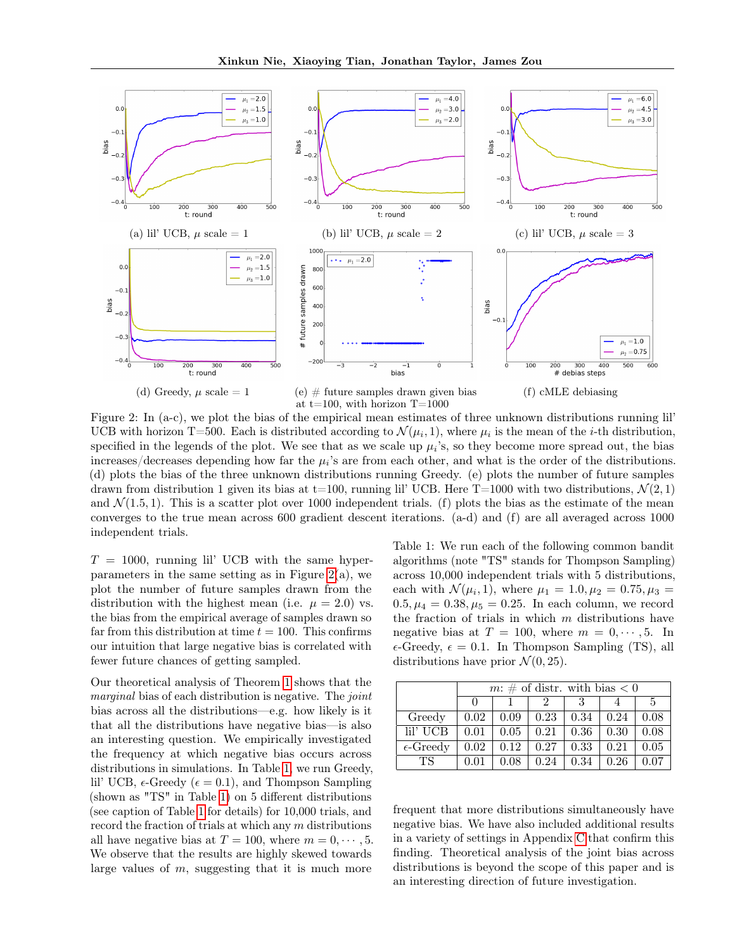<span id="page-4-0"></span>

Figure 2: In (a-c), we plot the bias of the empirical mean estimates of three unknown distributions running lil' UCB with horizon T=500. Each is distributed according to  $\mathcal{N}(\mu_i, 1)$ , where  $\mu_i$  is the mean of the *i*-th distribution, specified in the legends of the plot. We see that as we scale up  $\mu_i$ 's, so they become more spread out, the bias increases/decreases depending how far the  $\mu_i$ 's are from each other, and what is the order of the distributions. (d) plots the bias of the three unknown distributions running Greedy. (e) plots the number of future samples drawn from distribution 1 given its bias at t=100, running lil' UCB. Here T=1000 with two distributions,  $\mathcal{N}(2,1)$ and  $\mathcal{N}(1.5, 1)$ . This is a scatter plot over 1000 independent trials. (f) plots the bias as the estimate of the mean converges to the true mean across 600 gradient descent iterations. (a-d) and (f) are all averaged across 1000 independent trials.

 $T = 1000$ , running lil' UCB with the same hyperparameters in the same setting as in Figure  $2(a)$ , we plot the number of future samples drawn from the distribution with the highest mean (i.e.  $\mu = 2.0$ ) vs. the bias from the empirical average of samples drawn so far from this distribution at time  $t = 100$ . This confirms our intuition that large negative bias is correlated with fewer future chances of getting sampled.

Our theoretical analysis of Theorem [1](#page-2-1) shows that the marginal bias of each distribution is negative. The joint bias across all the distributions—e.g. how likely is it that all the distributions have negative bias—is also an interesting question. We empirically investigated the frequency at which negative bias occurs across distributions in simulations. In Table [1,](#page-4-1) we run Greedy, lil' UCB,  $\epsilon$ -Greedy ( $\epsilon = 0.1$ ), and Thompson Sampling (shown as "TS" in Table [1\)](#page-4-1) on 5 different distributions (see caption of Table [1](#page-4-1) for details) for 10,000 trials, and record the fraction of trials at which any m distributions all have negative bias at  $T = 100$ , where  $m = 0, \dots, 5$ . We observe that the results are highly skewed towards large values of  $m$ , suggesting that it is much more

<span id="page-4-1"></span>Table 1: We run each of the following common bandit algorithms (note "TS" stands for Thompson Sampling) across 10,000 independent trials with 5 distributions, each with  $\mathcal{N}(\mu_i, 1)$ , where  $\mu_1 = 1.0, \mu_2 = 0.75, \mu_3 =$  $0.5, \mu_4 = 0.38, \mu_5 = 0.25$ . In each column, we record the fraction of trials in which  $m$  distributions have negative bias at  $T = 100$ , where  $m = 0, \dots, 5$ . In  $\epsilon$ -Greedy,  $\epsilon = 0.1$ . In Thompson Sampling (TS), all distributions have prior  $\mathcal{N}(0, 25)$ .

|                    |              | $m: \#$ of distr. with bias $\lt 0$ |      |      |      |      |  |  |
|--------------------|--------------|-------------------------------------|------|------|------|------|--|--|
|                    | $\mathbf{I}$ |                                     |      |      |      | 5    |  |  |
| Greedy             | 0.02         | 0.09                                | 0.23 | 0.34 | 0.24 | 0.08 |  |  |
| lil' UCB           | 0.01         | 0.05                                | 0.21 | 0.36 | 0.30 | 0.08 |  |  |
| $\epsilon$ -Greedy | 0.02         | 0.12                                | 0.27 | 0.33 | 0.21 | 0.05 |  |  |
| TS.                |              | 0.08                                | 0.24 | 0.34 | 0.26 |      |  |  |

frequent that more distributions simultaneously have negative bias. We have also included additional results in a variety of settings in Appendix [C](#page-12-0) that confirm this finding. Theoretical analysis of the joint bias across distributions is beyond the scope of this paper and is an interesting direction of future investigation.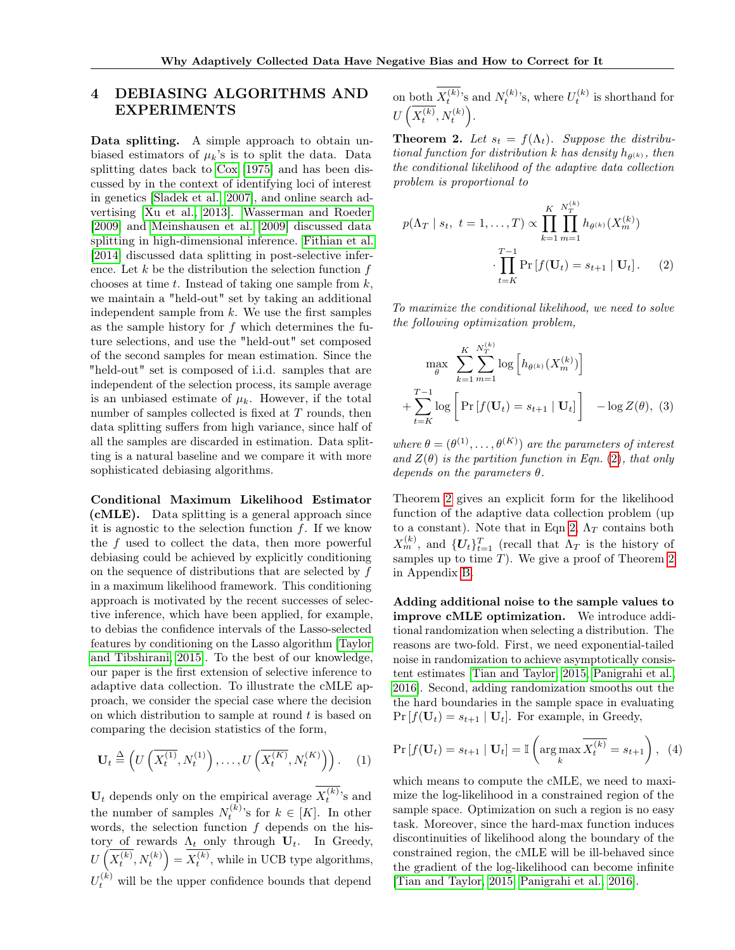## 4 DEBIASING ALGORITHMS AND EXPERIMENTS

Data splitting. A simple approach to obtain unbiased estimators of  $\mu_k$ 's is to split the data. Data splitting dates back to [Cox](#page-8-11) [\[1975\]](#page-8-11) and has been discussed by in the context of identifying loci of interest in genetics [\[Sladek et al., 2007\]](#page-8-12), and online search advertising [\[Xu et al., 2013\]](#page-8-0). [Wasserman and Roeder](#page-8-13) [\[2009\]](#page-8-13) and [Meinshausen et al.](#page-8-14) [\[2009\]](#page-8-14) discussed data splitting in high-dimensional inference. [Fithian et al.](#page-8-15) [\[2014\]](#page-8-15) discussed data splitting in post-selective inference. Let  $k$  be the distribution the selection function  $f$ chooses at time  $t$ . Instead of taking one sample from  $k$ , we maintain a "held-out" set by taking an additional independent sample from  $k$ . We use the first samples as the sample history for f which determines the future selections, and use the "held-out" set composed of the second samples for mean estimation. Since the "held-out" set is composed of i.i.d. samples that are independent of the selection process, its sample average is an unbiased estimate of  $\mu_k$ . However, if the total number of samples collected is fixed at  $T$  rounds, then data splitting suffers from high variance, since half of all the samples are discarded in estimation. Data splitting is a natural baseline and we compare it with more sophisticated debiasing algorithms.

Conditional Maximum Likelihood Estimator (cMLE). Data splitting is a general approach since it is agnostic to the selection function  $f$ . If we know the f used to collect the data, then more powerful debiasing could be achieved by explicitly conditioning on the sequence of distributions that are selected by f in a maximum likelihood framework. This conditioning approach is motivated by the recent successes of selective inference, which have been applied, for example, to debias the confidence intervals of the Lasso-selected features by conditioning on the Lasso algorithm [\[Taylor](#page-8-1) [and Tibshirani, 2015\]](#page-8-1). To the best of our knowledge, our paper is the first extension of selective inference to adaptive data collection. To illustrate the cMLE approach, we consider the special case where the decision on which distribution to sample at round  $t$  is based on comparing the decision statistics of the form,

$$
\mathbf{U}_t \stackrel{\Delta}{=} \left( U\left( \overline{X_t^{(1)}}, N_t^{(1)} \right), \dots, U\left( \overline{X_t^{(K)}}, N_t^{(K)} \right) \right). \tag{1}
$$

 $U_t$  depends only on the empirical average  $X_t^{(k)}$ 's and the number of samples  $N_t^{(k)}$ 's for  $k \in [K]$ . In other words, the selection function  $f$  depends on the history of rewards  $\Lambda_t$  only through  $U_t$ . In Greedy,  $U\left(\overline{X_t^{(k)}},N_t^{(k)}\right)=\overline{X_t^{(k)}},$  while in UCB type algorithms,  $U_t^{(k)}$  will be the upper confidence bounds that depend

on both  $X_t^{(k)}$ 's and  $N_t^{(k)}$ 's, where  $U_t^{(k)}$  is shorthand for  $U\left(\overline{X_t^{(k)}},N_t^{(k)}\right)$ .

<span id="page-5-1"></span>**Theorem 2.** Let  $s_t = f(\Lambda_t)$ . Suppose the distributional function for distribution k has density  $h_{\theta^{(k)}}$ , then the conditional likelihood of the adaptive data collection problem is proportional to

<span id="page-5-0"></span>
$$
p(\Lambda_T \mid s_t, \ t = 1, ..., T) \propto \prod_{k=1}^K \prod_{m=1}^{N_T^{(k)}} h_{\theta^{(k)}}(X_m^{(k)})
$$

$$
\cdot \prod_{t=K}^{T-1} \Pr[f(\mathbf{U}_t) = s_{t+1} \mid \mathbf{U}_t]. \tag{2}
$$

To maximize the conditional likelihood, we need to solve the following optimization problem,

<span id="page-5-2"></span>
$$
\max_{\theta} \sum_{k=1}^{K} \sum_{m=1}^{N_T^{(k)}} \log \left[ h_{\theta^{(k)}}(X_m^{(k)}) \right] + \sum_{t=K}^{T-1} \log \left[ \Pr \left[ f(\mathbf{U}_t) = s_{t+1} \mid \mathbf{U}_t \right] \right] - \log Z(\theta), \tag{3}
$$

where  $\theta = (\theta^{(1)}, \dots, \theta^{(K)})$  are the parameters of interest and  $Z(\theta)$  is the partition function in Eqn. [\(2\)](#page-5-0), that only depends on the parameters  $\theta$ .

Theorem [2](#page-5-1) gives an explicit form for the likelihood function of the adaptive data collection problem (up to a constant). Note that in Eqn [2,](#page-5-0)  $\Lambda_T$  contains both  $X_m^{(k)}$ , and  $\{U_t\}_{t=1}^T$  (recall that  $\Lambda_T$  is the history of samples up to time  $T$ ). We give a proof of Theorem [2](#page-5-1) in Appendix [B.](#page-9-0)

Adding additional noise to the sample values to improve cMLE optimization. We introduce additional randomization when selecting a distribution. The reasons are two-fold. First, we need exponential-tailed noise in randomization to achieve asymptotically consistent estimates [\[Tian and Taylor, 2015,](#page-8-2) [Panigrahi et al.,](#page-8-16) [2016\]](#page-8-16). Second, adding randomization smooths out the the hard boundaries in the sample space in evaluating  $Pr[f(\mathbf{U}_t) = s_{t+1} | \mathbf{U}_t]$ . For example, in Greedy,

$$
\Pr\left[f(\mathbf{U}_t) = s_{t+1} \mid \mathbf{U}_t\right] = \mathbb{I}\left(\arg\max_k \overline{X_t^{(k)}} = s_{t+1}\right), \tag{4}
$$

which means to compute the cMLE, we need to maximize the log-likelihood in a constrained region of the sample space. Optimization on such a region is no easy task. Moreover, since the hard-max function induces discontinuities of likelihood along the boundary of the constrained region, the cMLE will be ill-behaved since the gradient of the log-likelihood can become infinite [\[Tian and Taylor, 2015,](#page-8-2) [Panigrahi et al., 2016\]](#page-8-16).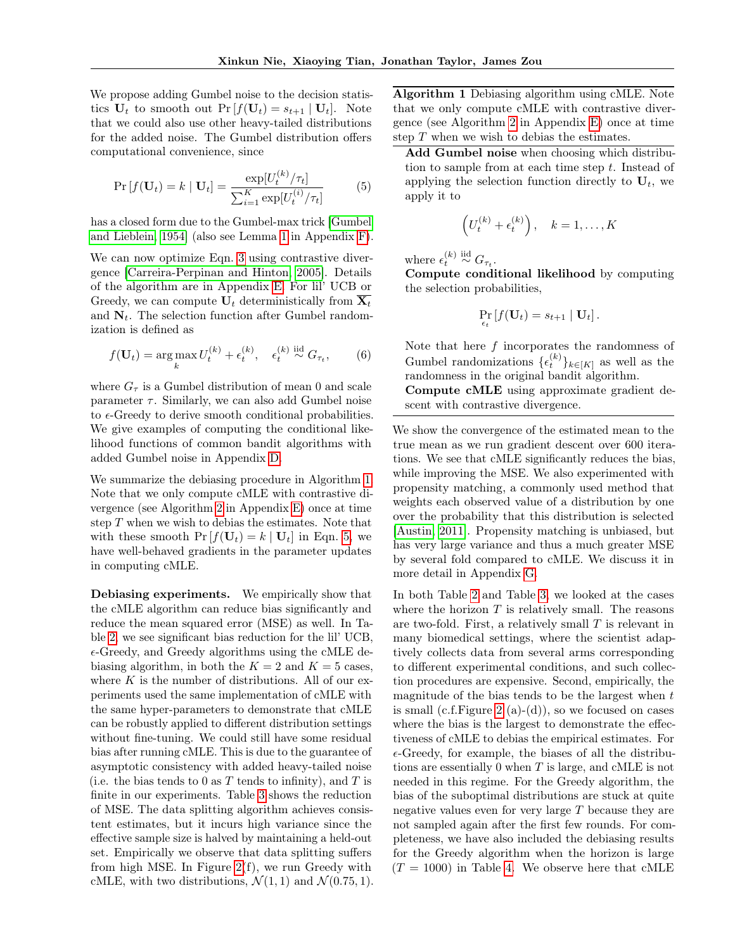We propose adding Gumbel noise to the decision statistics  $U_t$  to smooth out  $Pr[f(U_t) = s_{t+1} | U_t]$ . Note that we could also use other heavy-tailed distributions for the added noise. The Gumbel distribution offers computational convenience, since

<span id="page-6-1"></span>
$$
\Pr[f(\mathbf{U}_t) = k \mid \mathbf{U}_t] = \frac{\exp[U_t^{(k)}/\tau_t]}{\sum_{i=1}^K \exp[U_t^{(i)}/\tau_t]} \tag{5}
$$

has a closed form due to the Gumbel-max trick [\[Gumbel](#page-8-17) [and Lieblein, 1954\]](#page-8-17) (also see Lemma [1](#page-14-0) in Appendix [F\)](#page-14-1).

We can now optimize Eqn. [3](#page-5-2) using contrastive divergence [\[Carreira-Perpinan and Hinton, 2005\]](#page-8-18). Details of the algorithm are in Appendix [E.](#page-13-0) For lil' UCB or Greedy, we can compute  $U_t$  deterministically from  $\overline{X_t}$ and  $N_t$ . The selection function after Gumbel randomization is defined as

$$
f(\mathbf{U}_t) = \arg\max_k U_t^{(k)} + \epsilon_t^{(k)}, \quad \epsilon_t^{(k)} \stackrel{\text{iid}}{\sim} G_{\tau_t}, \tag{6}
$$

where  $G_{\tau}$  is a Gumbel distribution of mean 0 and scale parameter  $\tau$ . Similarly, we can also add Gumbel noise to  $\epsilon$ -Greedy to derive smooth conditional probabilities. We give examples of computing the conditional likelihood functions of common bandit algorithms with added Gumbel noise in Appendix [D.](#page-13-1)

We summarize the debiasing procedure in Algorithm [1.](#page-6-0) Note that we only compute cMLE with contrastive divergence (see Algorithm [2](#page-14-2) in Appendix [E\)](#page-13-0) once at time step  $T$  when we wish to debias the estimates. Note that with these smooth  $Pr[f(\mathbf{U}_t) = k | \mathbf{U}_t]$  in Eqn. [5,](#page-6-1) we have well-behaved gradients in the parameter updates in computing cMLE.

Debiasing experiments. We empirically show that the cMLE algorithm can reduce bias significantly and reduce the mean squared error (MSE) as well. In Table [2,](#page-7-0) we see significant bias reduction for the lil' UCB,  $\epsilon$ -Greedy, and Greedy algorithms using the cMLE debiasing algorithm, in both the  $K = 2$  and  $K = 5$  cases, where  $K$  is the number of distributions. All of our experiments used the same implementation of cMLE with the same hyper-parameters to demonstrate that cMLE can be robustly applied to different distribution settings without fine-tuning. We could still have some residual bias after running cMLE. This is due to the guarantee of asymptotic consistency with added heavy-tailed noise (i.e. the bias tends to 0 as  $T$  tends to infinity), and  $T$  is finite in our experiments. Table [3](#page-7-1) shows the reduction of MSE. The data splitting algorithm achieves consistent estimates, but it incurs high variance since the effective sample size is halved by maintaining a held-out set. Empirically we observe that data splitting suffers from high MSE. In Figure [2\(](#page-4-0)f), we run Greedy with cMLE, with two distributions,  $\mathcal{N}(1, 1)$  and  $\mathcal{N}(0.75, 1)$ .

<span id="page-6-0"></span>Algorithm 1 Debiasing algorithm using cMLE. Note that we only compute cMLE with contrastive divergence (see Algorithm [2](#page-14-2) in Appendix [E\)](#page-13-0) once at time step  $T$  when we wish to debias the estimates.

Add Gumbel noise when choosing which distribution to sample from at each time step t. Instead of applying the selection function directly to  $U_t$ , we apply it to

$$
\left(U_t^{(k)} + \epsilon_t^{(k)}\right), \quad k = 1, \dots, K
$$

where  $\epsilon_t^{(k)} \stackrel{\text{iid}}{\sim} G_{\tau_t}$ .

Compute conditional likelihood by computing the selection probabilities,

$$
\Pr_{\epsilon_t} [f(\mathbf{U}_t) = s_{t+1} | \mathbf{U}_t].
$$

Note that here  $f$  incorporates the randomness of Gumbel randomizations  $\{\epsilon_t^{(k)}\}_{k\in[K]}$  as well as the randomness in the original bandit algorithm.

Compute cMLE using approximate gradient descent with contrastive divergence.

We show the convergence of the estimated mean to the true mean as we run gradient descent over 600 iterations. We see that cMLE significantly reduces the bias, while improving the MSE. We also experimented with propensity matching, a commonly used method that weights each observed value of a distribution by one over the probability that this distribution is selected [\[Austin, 2011\]](#page-8-19). Propensity matching is unbiased, but has very large variance and thus a much greater MSE by several fold compared to cMLE. We discuss it in more detail in Appendix [G.](#page-14-3)

In both Table [2](#page-7-0) and Table [3,](#page-7-1) we looked at the cases where the horizon  $T$  is relatively small. The reasons are two-fold. First, a relatively small  $T$  is relevant in many biomedical settings, where the scientist adaptively collects data from several arms corresponding to different experimental conditions, and such collection procedures are expensive. Second, empirically, the magnitude of the bias tends to be the largest when  $t$ is small (c.f. Figure [2](#page-4-0) (a)-(d)), so we focused on cases where the bias is the largest to demonstrate the effectiveness of cMLE to debias the empirical estimates. For  $\epsilon$ -Greedy, for example, the biases of all the distributions are essentially  $0$  when  $T$  is large, and cMLE is not needed in this regime. For the Greedy algorithm, the bias of the suboptimal distributions are stuck at quite negative values even for very large T because they are not sampled again after the first few rounds. For completeness, we have also included the debiasing results for the Greedy algorithm when the horizon is large  $(T = 1000)$  in Table [4.](#page-7-2) We observe here that cMLE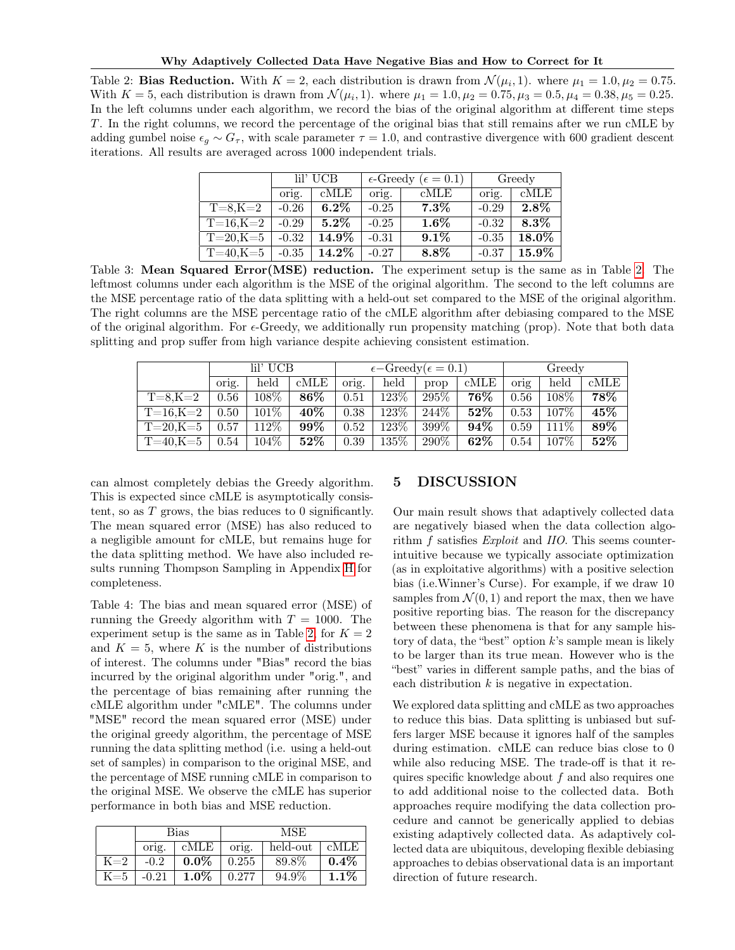<span id="page-7-0"></span>Table 2: **Bias Reduction.** With  $K = 2$ , each distribution is drawn from  $\mathcal{N}(\mu_i, 1)$ . where  $\mu_1 = 1.0, \mu_2 = 0.75$ . With  $K = 5$ , each distribution is drawn from  $\mathcal{N}(\mu_i, 1)$ . where  $\mu_1 = 1.0, \mu_2 = 0.75, \mu_3 = 0.5, \mu_4 = 0.38, \mu_5 = 0.25$ . In the left columns under each algorithm, we record the bias of the original algorithm at different time steps T. In the right columns, we record the percentage of the original bias that still remains after we run cMLE by adding gumbel noise  $\epsilon_g \sim G_\tau$ , with scale parameter  $\tau = 1.0$ , and contrastive divergence with 600 gradient descent iterations. All results are averaged across 1000 independent trials.

|                 | lil' UCB |          |         | $\epsilon$ -Greedy ( $\epsilon = 0.1$ ) | Greedy  |          |
|-----------------|----------|----------|---------|-----------------------------------------|---------|----------|
|                 | orig.    | cMLE     | orig.   | $\rm cMLE$                              | orig.   | cMLE     |
| $T=8, K=2$      | $-0.26$  | $6.2\%$  | $-0.25$ | $7.3\%$                                 | $-0.29$ | $2.8\%$  |
| $T = 16, K = 2$ | $-0.29$  | $5.2\%$  | $-0.25$ | $1.6\%$                                 | $-0.32$ | $8.3\%$  |
| $T = 20, K = 5$ | $-0.32$  | $14.9\%$ | $-0.31$ | $9.1\%$                                 | $-0.35$ | $18.0\%$ |
| $T=40,K=5$      | $-0.35$  | $14.2\%$ | $-0.27$ | $8.8\%$                                 | $-0.37$ | $15.9\%$ |

<span id="page-7-1"></span>Table 3: Mean Squared Error(MSE) reduction. The experiment setup is the same as in Table [2.](#page-7-0) The leftmost columns under each algorithm is the MSE of the original algorithm. The second to the left columns are the MSE percentage ratio of the data splitting with a held-out set compared to the MSE of the original algorithm. The right columns are the MSE percentage ratio of the cMLE algorithm after debiasing compared to the MSE of the original algorithm. For  $\epsilon$ -Greedy, we additionally run propensity matching (prop). Note that both data splitting and prop suffer from high variance despite achieving consistent estimation.

|                | lil' UCB |         |        |       | $\epsilon$ -Greedy( $\epsilon$ = 0.1) |         |            | Greedy |         |      |
|----------------|----------|---------|--------|-------|---------------------------------------|---------|------------|--------|---------|------|
|                | orig.    | held    | cMLE   | orig. | held                                  | prop    | $\rm cMLE$ | orig   | held    | cMLE |
| $T = 8, K = 2$ | 0.56     | 108\%   | 86\%   | 0.51  | 123\%                                 | $295\%$ | 76%        | 0.56   | 108\%   | 78%  |
| $T=16, K=2$    | 0.50     | 101\%   | 40\%   | 0.38  | $123\%$                               | 244\%   | $52\%$     | 0.53   | 107\%   | 45%  |
| $T=20, K=5$    | 0.57     | 112\%   | $99\%$ | 0.52  | 123\%                                 | $399\%$ | $94\%$     | 0.59   | $111\%$ | 89%  |
| $T=40$ .K $=5$ | 0.54     | $104\%$ | $52\%$ | 0.39  | 135\%                                 | $290\%$ | $62\%$     | 0.54   | $107\%$ | 52%  |

can almost completely debias the Greedy algorithm. This is expected since cMLE is asymptotically consistent, so as T grows, the bias reduces to 0 significantly. The mean squared error (MSE) has also reduced to a negligible amount for cMLE, but remains huge for the data splitting method. We have also included results running Thompson Sampling in Appendix [H](#page-15-0) for completeness.

<span id="page-7-2"></span>Table 4: The bias and mean squared error (MSE) of running the Greedy algorithm with  $T = 1000$ . The experiment setup is the same as in Table [2,](#page-7-0) for  $K = 2$ and  $K = 5$ , where K is the number of distributions of interest. The columns under "Bias" record the bias incurred by the original algorithm under "orig.", and the percentage of bias remaining after running the cMLE algorithm under "cMLE". The columns under "MSE" record the mean squared error (MSE) under the original greedy algorithm, the percentage of MSE running the data splitting method (i.e. using a held-out set of samples) in comparison to the original MSE, and the percentage of MSE running cMLE in comparison to the original MSE. We observe the cMLE has superior performance in both bias and MSE reduction.

|                     | Bias    |         |       | <b>MSE</b> |         |  |  |
|---------------------|---------|---------|-------|------------|---------|--|--|
|                     | orig.   | cMLE    | orig. | held-out   | cMLE    |  |  |
| $K=2$               | $-0.2$  | $0.0\%$ | 0.255 | 89.8%      | $0.4\%$ |  |  |
| $\rm K\mathbin=\!5$ | $-0.21$ | $1.0\%$ | 0.277 | 94.9%      | $1.1\%$ |  |  |

## 5 DISCUSSION

Our main result shows that adaptively collected data are negatively biased when the data collection algorithm f satisfies *Exploit* and *IIO*. This seems counterintuitive because we typically associate optimization (as in exploitative algorithms) with a positive selection bias (i.e.Winner's Curse). For example, if we draw 10 samples from  $\mathcal{N}(0, 1)$  and report the max, then we have positive reporting bias. The reason for the discrepancy between these phenomena is that for any sample history of data, the "best" option  $k$ 's sample mean is likely to be larger than its true mean. However who is the "best" varies in different sample paths, and the bias of each distribution  $k$  is negative in expectation.

We explored data splitting and cMLE as two approaches to reduce this bias. Data splitting is unbiased but suffers larger MSE because it ignores half of the samples during estimation. cMLE can reduce bias close to 0 while also reducing MSE. The trade-off is that it requires specific knowledge about  $f$  and also requires one to add additional noise to the collected data. Both approaches require modifying the data collection procedure and cannot be generically applied to debias existing adaptively collected data. As adaptively collected data are ubiquitous, developing flexible debiasing approaches to debias observational data is an important direction of future research.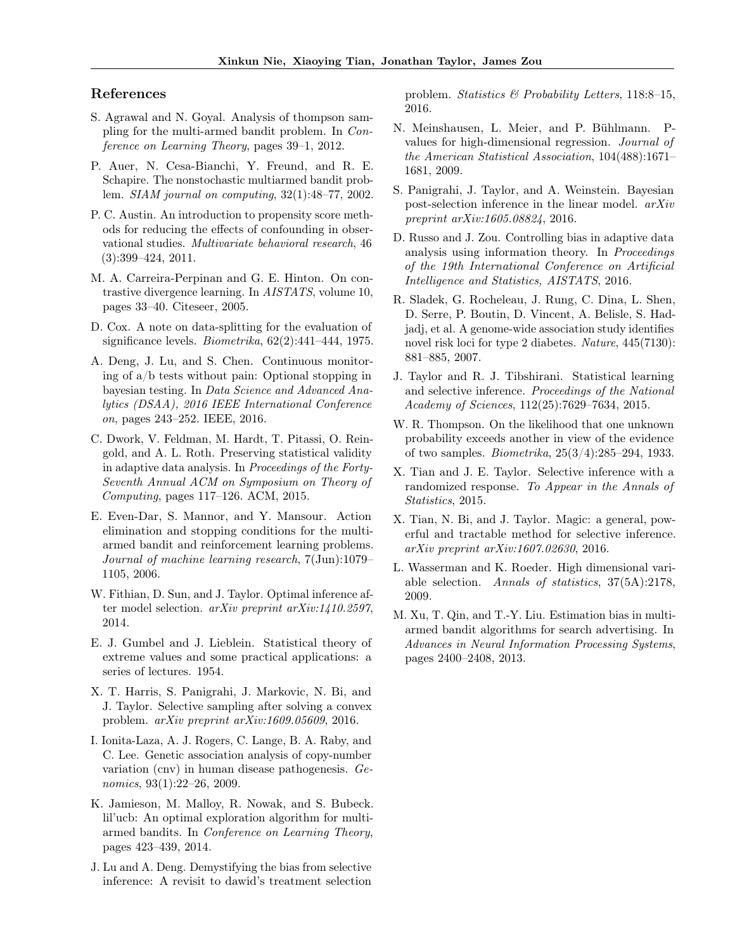### References

- <span id="page-8-10"></span>S. Agrawal and N. Goyal. Analysis of thompson sampling for the multi-armed bandit problem. In Conference on Learning Theory, pages 39–1, 2012.
- <span id="page-8-20"></span>P. Auer, N. Cesa-Bianchi, Y. Freund, and R. E. Schapire. The nonstochastic multiarmed bandit problem. SIAM journal on computing, 32(1):48–77, 2002.
- <span id="page-8-19"></span>P. C. Austin. An introduction to propensity score methods for reducing the effects of confounding in observational studies. Multivariate behavioral research, 46 (3):399–424, 2011.
- <span id="page-8-18"></span>M. A. Carreira-Perpinan and G. E. Hinton. On contrastive divergence learning. In AISTATS, volume 10, pages 33–40. Citeseer, 2005.
- <span id="page-8-11"></span>D. Cox. A note on data-splitting for the evaluation of significance levels. Biometrika, 62(2):441–444, 1975.
- A. Deng, J. Lu, and S. Chen. Continuous monitoring of a/b tests without pain: Optional stopping in bayesian testing. In Data Science and Advanced Analytics (DSAA), 2016 IEEE International Conference on, pages 243–252. IEEE, 2016.
- <span id="page-8-6"></span>C. Dwork, V. Feldman, M. Hardt, T. Pitassi, O. Reingold, and A. L. Roth. Preserving statistical validity in adaptive data analysis. In Proceedings of the Forty-Seventh Annual ACM on Symposium on Theory of Computing, pages 117–126. ACM, 2015.
- E. Even-Dar, S. Mannor, and Y. Mansour. Action elimination and stopping conditions for the multiarmed bandit and reinforcement learning problems. Journal of machine learning research, 7(Jun):1079– 1105, 2006.
- <span id="page-8-15"></span>W. Fithian, D. Sun, and J. Taylor. Optimal inference after model selection. arXiv preprint arXiv:1410.2597, 2014.
- <span id="page-8-17"></span>E. J. Gumbel and J. Lieblein. Statistical theory of extreme values and some practical applications: a series of lectures. 1954.
- <span id="page-8-4"></span>X. T. Harris, S. Panigrahi, J. Markovic, N. Bi, and J. Taylor. Selective sampling after solving a convex problem. arXiv preprint arXiv:1609.05609, 2016.
- <span id="page-8-5"></span>I. Ionita-Laza, A. J. Rogers, C. Lange, B. A. Raby, and C. Lee. Genetic association analysis of copy-number variation (cnv) in human disease pathogenesis. Genomics, 93(1):22–26, 2009.
- <span id="page-8-8"></span>K. Jamieson, M. Malloy, R. Nowak, and S. Bubeck. lil'ucb: An optimal exploration algorithm for multiarmed bandits. In Conference on Learning Theory, pages 423–439, 2014.
- J. Lu and A. Deng. Demystifying the bias from selective inference: A revisit to dawid's treatment selection

problem. Statistics & Probability Letters, 118:8–15, 2016.

- <span id="page-8-14"></span>N. Meinshausen, L. Meier, and P. Bühlmann. Pvalues for high-dimensional regression. Journal of the American Statistical Association, 104(488):1671– 1681, 2009.
- <span id="page-8-16"></span>S. Panigrahi, J. Taylor, and A. Weinstein. Bayesian post-selection inference in the linear model. arXiv preprint arXiv:1605.08824, 2016.
- <span id="page-8-7"></span>D. Russo and J. Zou. Controlling bias in adaptive data analysis using information theory. In Proceedings of the 19th International Conference on Artificial Intelligence and Statistics, AISTATS, 2016.
- <span id="page-8-12"></span>R. Sladek, G. Rocheleau, J. Rung, C. Dina, L. Shen, D. Serre, P. Boutin, D. Vincent, A. Belisle, S. Hadjadj, et al. A genome-wide association study identifies novel risk loci for type 2 diabetes. Nature, 445(7130): 881–885, 2007.
- <span id="page-8-1"></span>J. Taylor and R. J. Tibshirani. Statistical learning and selective inference. Proceedings of the National Academy of Sciences, 112(25):7629–7634, 2015.
- <span id="page-8-9"></span>W. R. Thompson. On the likelihood that one unknown probability exceeds another in view of the evidence of two samples. Biometrika, 25(3/4):285–294, 1933.
- <span id="page-8-2"></span>X. Tian and J. E. Taylor. Selective inference with a randomized response. To Appear in the Annals of Statistics, 2015.
- <span id="page-8-3"></span>X. Tian, N. Bi, and J. Taylor. Magic: a general, powerful and tractable method for selective inference. arXiv preprint arXiv:1607.02630, 2016.
- <span id="page-8-13"></span>L. Wasserman and K. Roeder. High dimensional variable selection. Annals of statistics, 37(5A):2178, 2009.
- <span id="page-8-0"></span>M. Xu, T. Qin, and T.-Y. Liu. Estimation bias in multiarmed bandit algorithms for search advertising. In Advances in Neural Information Processing Systems, pages 2400–2408, 2013.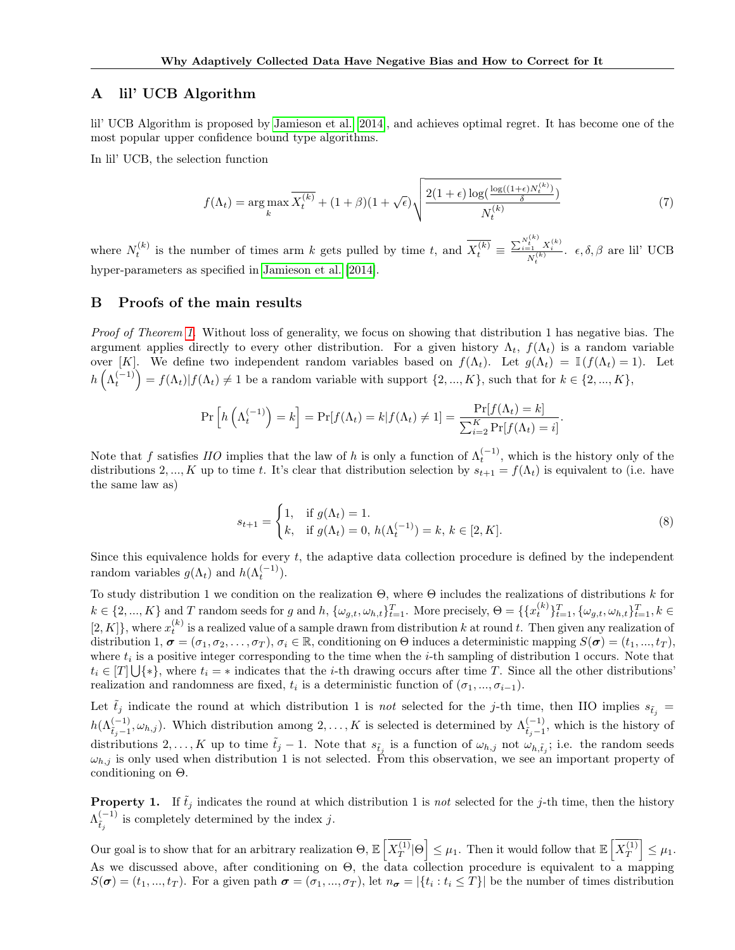### <span id="page-9-1"></span>A lil' UCB Algorithm

lil' UCB Algorithm is proposed by [Jamieson et al.](#page-8-8) [\[2014\]](#page-8-8), and achieves optimal regret. It has become one of the most popular upper confidence bound type algorithms.

In lil' UCB, the selection function

$$
f(\Lambda_t) = \arg\max_k \overline{X_t^{(k)}} + (1+\beta)(1+\sqrt{\epsilon})\sqrt{\frac{2(1+\epsilon)\log(\frac{\log((1+\epsilon)N_t^{(k)})}{\delta})}{N_t^{(k)}}}
$$
(7)

where  $N_t^{(k)}$  is the number of times arm k gets pulled by time t, and  $\overline{X_t^{(k)}} \equiv \frac{\sum_{i=1}^{N_t^{(k)}} X_i^{(k)}}{N_t^{(k)}}$ .  $\epsilon, \delta, \beta$  are lil' UCB hyper-parameters as specified in [Jamieson et al.](#page-8-8) [\[2014\]](#page-8-8).

### <span id="page-9-0"></span>B Proofs of the main results

Proof of Theorem [1.](#page-2-1) Without loss of generality, we focus on showing that distribution 1 has negative bias. The argument applies directly to every other distribution. For a given history  $\Lambda_t$ ,  $f(\Lambda_t)$  is a random variable over [K]. We define two independent random variables based on  $f(\Lambda_t)$ . Let  $g(\Lambda_t) = \mathbb{I}(f(\Lambda_t) = 1)$ . Let  $h\left(\Lambda_t^{(-1)}\right) = f(\Lambda_t)|f(\Lambda_t) \neq 1$  be a random variable with support  $\{2, ..., K\}$ , such that for  $k \in \{2, ..., K\}$ ,

$$
\Pr\left[h\left(\Lambda_t^{(-1)}\right) = k\right] = \Pr[f(\Lambda_t) = k | f(\Lambda_t) \neq 1] = \frac{\Pr[f(\Lambda_t) = k]}{\sum_{i=2}^K \Pr[f(\Lambda_t) = i]}.
$$

Note that f satisfies  $HO$  implies that the law of h is only a function of  $\Lambda_t^{(-1)}$ , which is the history only of the distributions 2, ..., K up to time t. It's clear that distribution selection by  $s_{t+1} = f(\Lambda_t)$  is equivalent to (i.e. have the same law as)

$$
s_{t+1} = \begin{cases} 1, & \text{if } g(\Lambda_t) = 1. \\ k, & \text{if } g(\Lambda_t) = 0, \ h(\Lambda_t^{(-1)}) = k, \ k \in [2, K]. \end{cases}
$$
 (8)

Since this equivalence holds for every  $t$ , the adaptive data collection procedure is defined by the independent random variables  $g(\Lambda_t)$  and  $h(\Lambda_t^{(-1)})$ .

To study distribution 1 we condition on the realization  $Θ$ , where  $Θ$  includes the realizations of distributions k for  $k \in \{2, ..., K\}$  and T random seeds for g and h,  $\{\omega_{g,t}, \omega_{h,t}\}_{t=1}^T$ . More precisely,  $\Theta = \{\{x_t^{(k)}\}_{t=1}^T, \{\omega_{g,t}, \omega_{h,t}\}_{t=1}^T, k \in$  $[2, K]$ , where  $x_t^{(k)}$  is a realized value of a sample drawn from distribution k at round t. Then given any realization of distribution 1,  $\sigma = (\sigma_1, \sigma_2, \ldots, \sigma_T)$ ,  $\sigma_i \in \mathbb{R}$ , conditioning on  $\Theta$  induces a deterministic mapping  $S(\sigma) = (t_1, ..., t_T)$ , where  $t_i$  is a positive integer corresponding to the time when the *i*-th sampling of distribution 1 occurs. Note that  $t_i \in [T] \bigcup \{*\},\$  where  $t_i = *$  indicates that the *i*-th drawing occurs after time T. Since all the other distributions' realization and randomness are fixed,  $t_i$  is a deterministic function of  $(\sigma_1, ..., \sigma_{i-1})$ .

Let  $\tilde{t}_j$  indicate the round at which distribution 1 is not selected for the j-th time, then IIO implies  $s_{\tilde{t}_j}$  =  $h(\Lambda_{\tilde{t}_j-1}^{(-1)}, \omega_{h,j})$ . Which distribution among  $2,\ldots,K$  is selected is determined by  $\Lambda_{\tilde{t}_j-1}^{(-1)}$  $\sum_{\tilde{t}_j-1}^{(-1)}$ , which is the history of distributions 2, ..., K up to time  $\tilde{t}_j - 1$ . Note that  $s_{\tilde{t}_j}$  is a function of  $\omega_{h,j}$  not  $\omega_{h,\tilde{t}_j}$ ; i.e. the random seeds  $\omega_{h,j}$  is only used when distribution 1 is not selected. From this observation, we see an important property of conditioning on Θ.

**Property 1.** If  $\tilde{t}_j$  indicates the round at which distribution 1 is not selected for the j-th time, then the history  $\Lambda_{\tilde{\tau}}^{(-1)}$  $\sum_{\tilde{t}_j}^{(-1)}$  is completely determined by the index j.

Our goal is to show that for an arbitrary realization  $\Theta$ ,  $\mathbb{E}\left[\overline{X_T^{(1)}}\right]$  $\left[\frac{\overline{F}}{T}\right]\Theta\right] \leq \mu_1$ . Then it would follow that  $\mathbb{E}\left[X_T^{(1)}\right]$  $\left| \frac{\overline{F}}{T} \right| \leq \mu_1.$ As we discussed above, after conditioning on Θ, the data collection procedure is equivalent to a mapping  $S(\sigma) = (t_1, ..., t_T)$ . For a given path  $\sigma = (\sigma_1, ..., \sigma_T)$ , let  $n_{\sigma} = |\{t_i : t_i \leq T\}|$  be the number of times distribution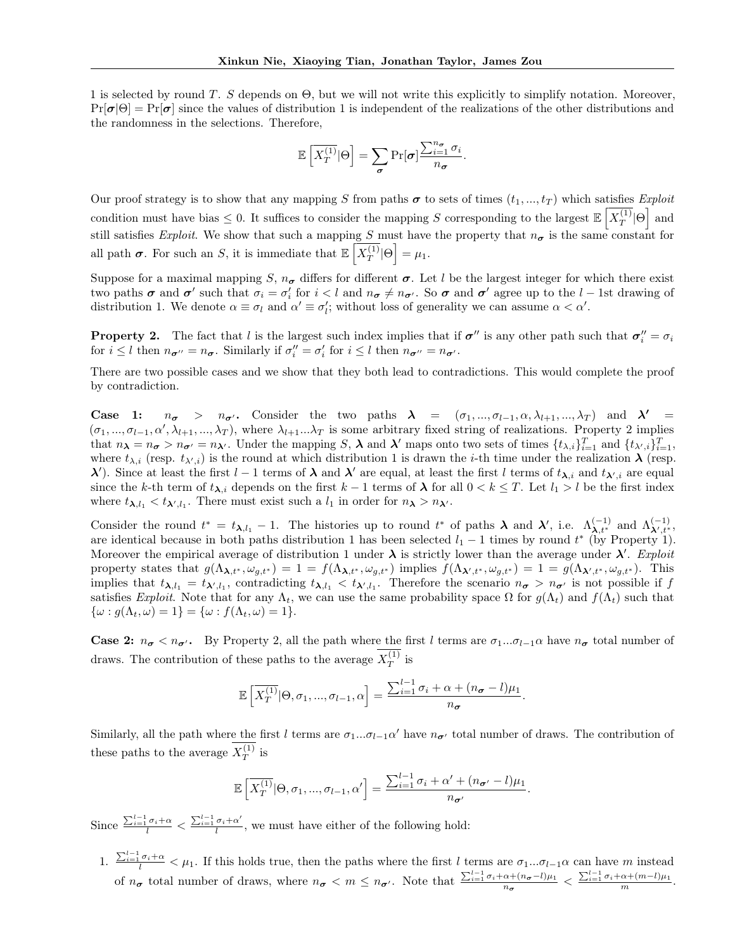1 is selected by round T. S depends on  $\Theta$ , but we will not write this explicitly to simplify notation. Moreover,  $Pr[\sigma|\Theta] = Pr[\sigma]$  since the values of distribution 1 is independent of the realizations of the other distributions and the randomness in the selections. Therefore,

$$
\mathbb{E}\left[\overline{X_T^{(1)}} | \Theta \right] = \sum_{\pmb{\sigma}} \Pr[\pmb{\sigma}] \frac{\sum_{i=1}^{n_{\pmb{\sigma}}} \sigma_i}{n_{\pmb{\sigma}}}.
$$

Our proof strategy is to show that any mapping S from paths  $\sigma$  to sets of times  $(t_1, ..., t_T)$  which satisfies Exploit condition must have bias  $\leq 0$ . It suffices to consider the mapping S corresponding to the largest  $\mathbb{E}\left[X_T^{(1)}\right]$  $\overline{\frac{T^{(1)}}{T}}|\Theta$  and still satisfies Exploit. We show that such a mapping S must have the property that  $n_{\sigma}$  is the same constant for all path  $\sigma$ . For such an S, it is immediate that  $\mathbb{E}\left[X_T^{(1)}\right]$  $\overline{\frac{\overline{P}}{T}}|\Theta|= \mu_1.$ 

Suppose for a maximal mapping S,  $n_{\sigma}$  differs for different  $\sigma$ . Let l be the largest integer for which there exist two paths  $\sigma$  and  $\sigma'$  such that  $\sigma_i = \sigma'_i$  for  $i < l$  and  $n_{\sigma} \neq n_{\sigma'}$ . So  $\sigma$  and  $\sigma'$  agree up to the  $l-1$ st drawing of distribution 1. We denote  $\alpha \equiv \sigma_l$  and  $\alpha' \equiv \sigma'_l$ ; without loss of generality we can assume  $\alpha < \alpha'$ .

**Property 2.** The fact that l is the largest such index implies that if  $\sigma''$  is any other path such that  $\sigma''_i = \sigma_i$ for  $i \leq l$  then  $n_{\sigma''} = n_{\sigma}$ . Similarly if  $\sigma''_i = \sigma'_i$  for  $i \leq l$  then  $n_{\sigma''} = n_{\sigma'}$ .

There are two possible cases and we show that they both lead to contradictions. This would complete the proof by contradiction.

**Case 1:**  $n_{\sigma} > n_{\sigma'}$ . Consider the two paths  $\lambda = (\sigma_1, ..., \sigma_{l-1}, \alpha, \lambda_{l+1}, ..., \lambda_T)$  and  $\lambda' =$  $(\sigma_1, ..., \sigma_{l-1}, \alpha', \lambda_{l+1}, ..., \lambda_T)$ , where  $\lambda_{l+1} ... \lambda_T$  is some arbitrary fixed string of realizations. Property 2 implies that  $n_{\lambda} = n_{\sigma} > n_{\sigma'} = n_{\lambda'}$ . Under the mapping S,  $\lambda$  and  $\lambda'$  maps onto two sets of times  $\{t_{\lambda,i}\}_{i=1}^T$  and  $\{t_{\lambda',i}\}_{i=1}^T$ , where  $t_{\lambda,i}$  (resp.  $t_{\lambda',i}$ ) is the round at which distribution 1 is drawn the *i*-th time under the realization  $\lambda$  (resp.  $λ'$ ). Since at least the first  $l-1$  terms of  $λ$  and  $λ'$  are equal, at least the first l terms of  $t_{λ,i}$  and  $t_{λ',i}$  are equal since the k-th term of  $t_{\lambda,i}$  depends on the first k – 1 terms of  $\lambda$  for all  $0 < k \leq T$ . Let  $l_1 > l$  be the first index where  $t_{\lambda, l_1} < t_{\lambda', l_1}$ . There must exist such a  $l_1$  in order for  $n_{\lambda} > n_{\lambda'}$ .

Consider the round  $t^* = t_{\lambda, l_1} - 1$ . The histories up to round  $t^*$  of paths  $\lambda$  and  $\lambda'$ , i.e.  $\Lambda_{\lambda, t^*}^{(-1)}$  and  $\Lambda_{\lambda', t^*}^{(-1)}$ , are identical because in both paths distribution 1 has been selected  $l_1 - 1$  times by round  $t^*$  (by Property 1). Moreover the empirical average of distribution 1 under  $\lambda$  is strictly lower than the average under  $\lambda'$ . Exploit property states that  $g(\Lambda_{\lambda,t^*}, \omega_{g,t^*}) = 1 = f(\Lambda_{\lambda,t^*}, \omega_{g,t^*})$  implies  $f(\Lambda_{\lambda',t^*}, \omega_{g,t^*}) = 1 = g(\Lambda_{\lambda',t^*}, \omega_{g,t^*})$ . This implies that  $t_{\lambda,l_1} = t_{\lambda',l_1}$ , contradicting  $t_{\lambda,l_1} < t_{\lambda',l_1}$ . Therefore the scenario  $n_{\sigma} > n_{\sigma'}$  is not possible if f satisfies Exploit. Note that for any  $\Lambda_t$ , we can use the same probability space  $\Omega$  for  $g(\Lambda_t)$  and  $f(\Lambda_t)$  such that  $\{\omega : g(\Lambda_t, \omega) = 1\} = \{\omega : f(\Lambda_t, \omega) = 1\}.$ 

**Case 2:**  $n_{\sigma} < n_{\sigma}$ . By Property 2, all the path where the first l terms are  $\sigma_1...\sigma_{l-1}\alpha$  have  $n_{\sigma}$  total number of draws. The contribution of these paths to the average  $X_T^{(1)}$  $T^{(1)}$  is

$$
\mathbb{E}\left[\overline{X_T^{(1)}}|\Theta,\sigma_1,...,\sigma_{l-1},\alpha\right] = \frac{\sum_{i=1}^{l-1}\sigma_i + \alpha + (n_{\sigma} - l)\mu_1}{n_{\sigma}}.
$$

Similarly, all the path where the first l terms are  $\sigma_1...\sigma_{l-1}\alpha'$  have  $n_{\sigma'}$  total number of draws. The contribution of these paths to the average  $X_T^{(1)}$  $T^{(1)}$  is

$$
\mathbb{E}\left[\overline{X_T^{(1)}}|\Theta,\sigma_1,...,\sigma_{l-1},\alpha'\right]=\frac{\sum_{i=1}^{l-1}\sigma_i+\alpha'+(n_{\sigma'}-l)\mu_1}{n_{\sigma'}}.
$$

Since  $\frac{\sum_{i=1}^{l-1} \sigma_i + \alpha}{l} < \frac{\sum_{i=1}^{l-1} \sigma_i + \alpha'}{l}$  $\frac{\sigma_i + \alpha}{l}$ , we must have either of the following hold:

1.  $\frac{\sum_{i=1}^{l-1} \sigma_i + \alpha}{l} < \mu_1$ . If this holds true, then the paths where the first l terms are  $\sigma_1...\sigma_{l-1}\alpha$  can have m instead of  $n_{\sigma}$  total number of draws, where  $n_{\sigma} < m \leq n_{\sigma'}$ . Note that  $\frac{\sum_{i=1}^{l-1} \sigma_i + \alpha + (n_{\sigma}-l)\mu_1}{n_{\sigma}} < \frac{\sum_{i=1}^{l-1} \sigma_i + \alpha + (m-l)\mu_1}{m}$ .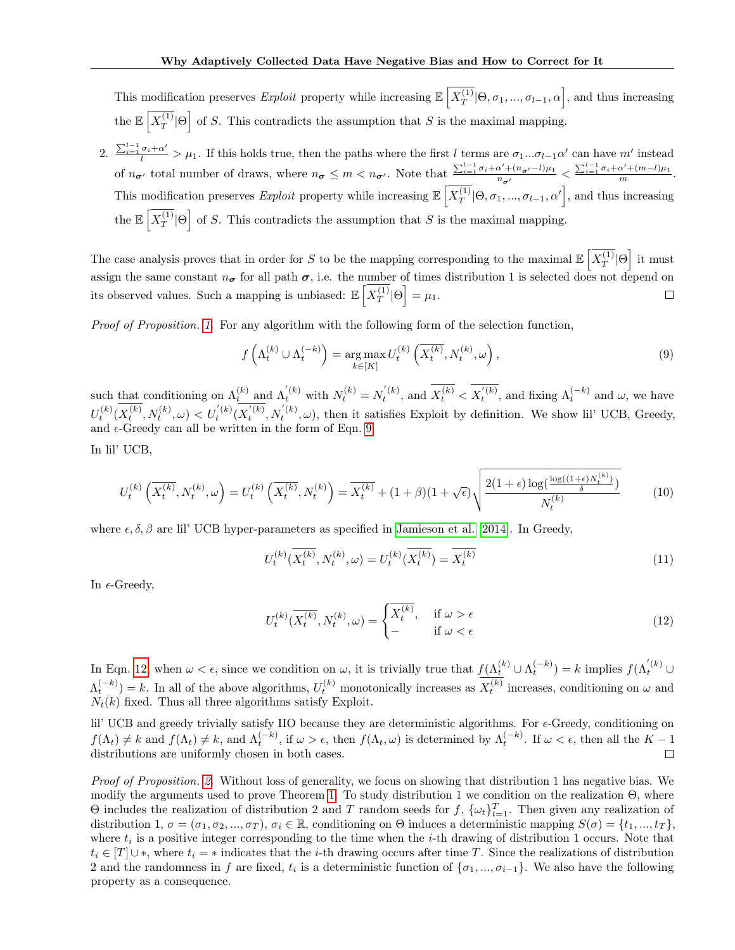This modification preserves Exploit property while increasing  $\mathbb{E}\left[X_T^{(1)}\right]$  $\overline{\mathcal{T}}_T^{(1)}[\Theta, \sigma_1, ..., \sigma_{l-1}, \alpha]$ , and thus increasing the  $\mathbb{E} \left[ \overline{X^{(1)}_{T}} \right]$  $\left[\frac{1}{T}\right]\Theta$  of S. This contradicts the assumption that S is the maximal mapping.

2.  $\frac{\sum_{i=1}^{l-1} \sigma_i + \alpha'}{l} > \mu_1$ . If this holds true, then the paths where the first l terms are  $\sigma_1...\sigma_{l-1}\alpha'$  can have m' instead of  $n_{\sigma'}$  total number of draws, where  $n_{\sigma} \leq m < n_{\sigma'}$ . Note that  $\frac{\sum_{i=1}^{l-1} \sigma_i + \alpha' + (n_{\sigma'}-l)\mu_1}{n_{\sigma'}} < \frac{\sum_{i=1}^{l-1} \sigma_i + \alpha' + (m-l)\mu_1}{m}$ . This modification preserves Exploit property while increasing  $\mathbb{E}\left[X_T^{(1)}\right]$  $T(T^{(1)}[\Theta, \sigma_1, ..., \sigma_{l-1}, \alpha']$ , and thus increasing the  $\mathbb{E}\left[X_T^{(1)}\right]$  $\left\lfloor \frac{1}{T} \right\rfloor \Theta$  of S. This contradicts the assumption that S is the maximal mapping.

The case analysis proves that in order for S to be the mapping corresponding to the maximal  $\mathbb{E}\left[X_T^{(1)}\right]$  $\sqrt{\frac{1}{T}}|\Theta|$  it must assign the same constant  $n_{\sigma}$  for all path  $\sigma$ , i.e. the number of times distribution 1 is selected does not depend on its observed values. Such a mapping is unbiased:  $\mathbb{E} \left[ X_T^{(1)} \right]$  $\overline{\frac{\overline{P}}{T}}|\Theta|= \mu_1.$  $\Box$ 

Proof of Proposition. [1.](#page-2-0) For any algorithm with the following form of the selection function,

<span id="page-11-0"></span>
$$
f\left(\Lambda_t^{(k)} \cup \Lambda_t^{(-k)}\right) = \underset{k \in [K]}{\arg \max} \, U_t^{(k)}\left(\overline{X_t^{(k)}}, N_t^{(k)}, \omega\right),\tag{9}
$$

such that conditioning on  $\Lambda_t^{(k)}$  and  $\Lambda_t^{(k)}$  with  $N_t^{(k)} = N_t^{(k)}$ , and  $\overline{X_t^{(k)}} < \overline{X_t^{(k)}}$ , and fixing  $\Lambda_t^{(-k)}$  and  $\omega$ , we have  $U_t^{(k)}(\overline{X_t^{(k)}}, N_t^{(k)}, \omega) < U_t^{(k)}(\overline{X_t^{(k)}}, N_t^{(k)}, \omega)$ , then it satisfies Exploit by definition. We show lil' UCB, Greedy, and  $\epsilon$ -Greedy can all be written in the form of Eqn. [9.](#page-11-0)

In lil' UCB,

$$
U_t^{(k)}\left(\overline{X_t^{(k)}}, N_t^{(k)}, \omega\right) = U_t^{(k)}\left(\overline{X_t^{(k)}}, N_t^{(k)}\right) = \overline{X_t^{(k)}} + (1+\beta)(1+\sqrt{\epsilon})\sqrt{\frac{2(1+\epsilon)\log(\frac{\log((1+\epsilon)N_t^{(k)})}{\delta})}{N_t^{(k)}}}
$$
(10)

where  $\epsilon, \delta, \beta$  are lil' UCB hyper-parameters as specified in [Jamieson et al.](#page-8-8) [\[2014\]](#page-8-8). In Greedy,

$$
U_t^{(k)}(\overline{X_t^{(k)}}, N_t^{(k)}, \omega) = U_t^{(k)}(\overline{X_t^{(k)}}) = \overline{X_t^{(k)}}\tag{11}
$$

In  $\epsilon$ -Greedy,

<span id="page-11-1"></span>
$$
U_t^{(k)}(\overline{X_t^{(k)}}, N_t^{(k)}, \omega) = \begin{cases} \overline{X_t^{(k)}}, & \text{if } \omega > \epsilon \\ - & \text{if } \omega < \epsilon \end{cases} \tag{12}
$$

In Eqn. [12,](#page-11-1) when  $\omega < \epsilon$ , since we condition on  $\omega$ , it is trivially true that  $f(\Lambda_t^{(k)} \cup \Lambda_t^{(-k)}) = k$  implies  $f(\Lambda_t^{(k)} \cup$  $\Lambda_t^{(-k)}$  = k. In all of the above algorithms,  $U_t^{(k)}$  monotonically increases as  $X_t^{(k)}$  increases, conditioning on  $\omega$  and  $N_t(k)$  fixed. Thus all three algorithms satisfy Exploit.

lil' UCB and greedy trivially satisfy IIO because they are deterministic algorithms. For  $\epsilon$ -Greedy, conditioning on  $f(\Lambda_t) \neq k$  and  $f(\Lambda_t) \neq k$ , and  $\Lambda_t^{(-k)}$ , if  $\omega > \epsilon$ , then  $f(\Lambda_t, \omega)$  is determined by  $\Lambda_t^{(-k)}$ . If  $\omega < \epsilon$ , then all the  $K-1$ distributions are uniformly chosen in both cases.  $\Box$ 

Proof of Proposition. [2.](#page-2-2) Without loss of generality, we focus on showing that distribution 1 has negative bias. We modify the arguments used to prove Theorem [1.](#page-2-1) To study distribution 1 we condition on the realization  $\Theta$ , where  $\Theta$  includes the realization of distribution 2 and T random seeds for f,  $\{\omega_t\}_{t=1}^T$ . Then given any realization of distribution 1,  $\sigma = (\sigma_1, \sigma_2, ..., \sigma_T)$ ,  $\sigma_i \in \mathbb{R}$ , conditioning on  $\Theta$  induces a deterministic mapping  $S(\sigma) = \{t_1, ..., t_T\}$ , where  $t_i$  is a positive integer corresponding to the time when the *i*-th drawing of distribution 1 occurs. Note that  $t_i \in [T] \cup *$ , where  $t_i = *$  indicates that the *i*-th drawing occurs after time T. Since the realizations of distribution 2 and the randomness in f are fixed,  $t_i$  is a deterministic function of  $\{\sigma_1, ..., \sigma_{i-1}\}$ . We also have the following property as a consequence.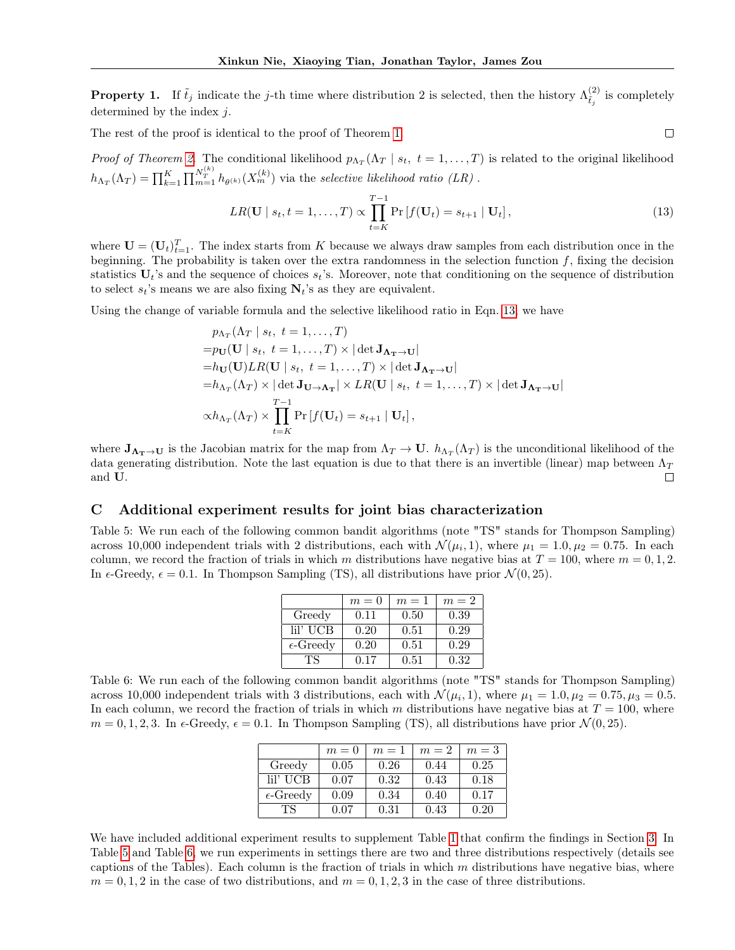**Property 1.** If  $\tilde{t}_j$  indicate the j-th time where distribution 2 is selected, then the history  $\Lambda_i^{(2)}$ .  $\tilde{t}_j^{(2)}$  is completely determined by the index  $j$ .

The rest of the proof is identical to the proof of Theorem [1.](#page-2-1)

*Proof of Theorem [2.](#page-5-1)* The conditional likelihood  $p_{\Lambda_T}(\Lambda_T | s_t, t = 1, ..., T)$  is related to the original likelihood  $h_{\Lambda_T}(\Lambda_T) = \prod_{k=1}^K \prod_{m=1}^{N_T^{(k)}} h_{\theta^{(k)}}(X_m^{(k)})$  via the selective likelihood ratio (LR).

<span id="page-12-1"></span>
$$
LR(\mathbf{U} \mid s_t, t = 1, \dots, T) \propto \prod_{t=K}^{T-1} \Pr[f(\mathbf{U}_t) = s_{t+1} \mid \mathbf{U}_t], \tag{13}
$$

 $\Box$ 

where  $\mathbf{U} = (\mathbf{U}_t)_{t=1}^T$ . The index starts from K because we always draw samples from each distribution once in the beginning. The probability is taken over the extra randomness in the selection function  $f$ , fixing the decision statistics  $U_t$ 's and the sequence of choices  $s_t$ 's. Moreover, note that conditioning on the sequence of distribution to select  $s_t$ 's means we are also fixing  $N_t$ 's as they are equivalent.

Using the change of variable formula and the selective likelihood ratio in Eqn. [13,](#page-12-1) we have

$$
p_{\Lambda_T}(\Lambda_T | s_t, t = 1,..., T)
$$
  
\n
$$
= p_U(\mathbf{U} | s_t, t = 1,..., T) \times |\det \mathbf{J}_{\Lambda_T \to \mathbf{U}}|
$$
  
\n
$$
= h_U(\mathbf{U})LR(\mathbf{U} | s_t, t = 1,..., T) \times |\det \mathbf{J}_{\Lambda_T \to \mathbf{U}}|
$$
  
\n
$$
= h_{\Lambda_T}(\Lambda_T) \times |\det \mathbf{J}_{\mathbf{U} \to \Lambda_T}| \times LR(\mathbf{U} | s_t, t = 1,..., T) \times |\det \mathbf{J}_{\Lambda_T \to \mathbf{U}}|
$$
  
\n
$$
\propto h_{\Lambda_T}(\Lambda_T) \times \prod_{t=K}^{T-1} \Pr[f(\mathbf{U}_t) = s_{t+1} | \mathbf{U}_t],
$$

where  $J_{\Lambda_T \to U}$  is the Jacobian matrix for the map from  $\Lambda_T \to U$ .  $h_{\Lambda_T}(\Lambda_T)$  is the unconditional likelihood of the data generating distribution. Note the last equation is due to that there is an invertible (linear) map between  $\Lambda_T$ and U.  $\Box$ 

#### <span id="page-12-0"></span>C Additional experiment results for joint bias characterization

<span id="page-12-2"></span>Table 5: We run each of the following common bandit algorithms (note "TS" stands for Thompson Sampling) across 10,000 independent trials with 2 distributions, each with  $\mathcal{N}(\mu_i, 1)$ , where  $\mu_1 = 1.0, \mu_2 = 0.75$ . In each column, we record the fraction of trials in which m distributions have negative bias at  $T = 100$ , where  $m = 0, 1, 2$ . In  $\epsilon$ -Greedy,  $\epsilon = 0.1$ . In Thompson Sampling (TS), all distributions have prior  $\mathcal{N}(0, 25)$ .

|                    | $m=0$ | $m=1$ | $m=2$ |
|--------------------|-------|-------|-------|
| Greedy             | 0.11  | 0.50  | 0.39  |
| lil' UCB           | 0.20  | 0.51  | 0.29  |
| $\epsilon$ -Greedy | 0.20  | 0.51  | 0.29  |
| ТS                 | 0.17  | 0.51  | 0.32  |

<span id="page-12-3"></span>Table 6: We run each of the following common bandit algorithms (note "TS" stands for Thompson Sampling) across 10,000 independent trials with 3 distributions, each with  $\mathcal{N}(\mu_i, 1)$ , where  $\mu_1 = 1.0, \mu_2 = 0.75, \mu_3 = 0.5$ . In each column, we record the fraction of trials in which m distributions have negative bias at  $T = 100$ , where  $m = 0, 1, 2, 3$ . In  $\epsilon$ -Greedy,  $\epsilon = 0.1$ . In Thompson Sampling (TS), all distributions have prior  $\mathcal{N}(0, 25)$ .

|                    | $m=0$ | $m=1$ | $m=2$ | $m=3$ |
|--------------------|-------|-------|-------|-------|
| Greedy             | 0.05  | 0.26  | 0.44  | 0.25  |
| lil' UCB           | 0.07  | 0.32  | 0.43  | 0.18  |
| $\epsilon$ -Greedy | 0.09  | 0.34  | 0.40  | 0.17  |
| TS.                | 0.07  | 0.31  | 0.43  | 0.20  |

We have included additional experiment results to supplement Table [1](#page-4-1) that confirm the findings in Section [3.](#page-2-3) In Table [5](#page-12-2) and Table [6,](#page-12-3) we run experiments in settings there are two and three distributions respectively (details see captions of the Tables). Each column is the fraction of trials in which  $m$  distributions have negative bias, where  $m = 0, 1, 2$  in the case of two distributions, and  $m = 0, 1, 2, 3$  in the case of three distributions.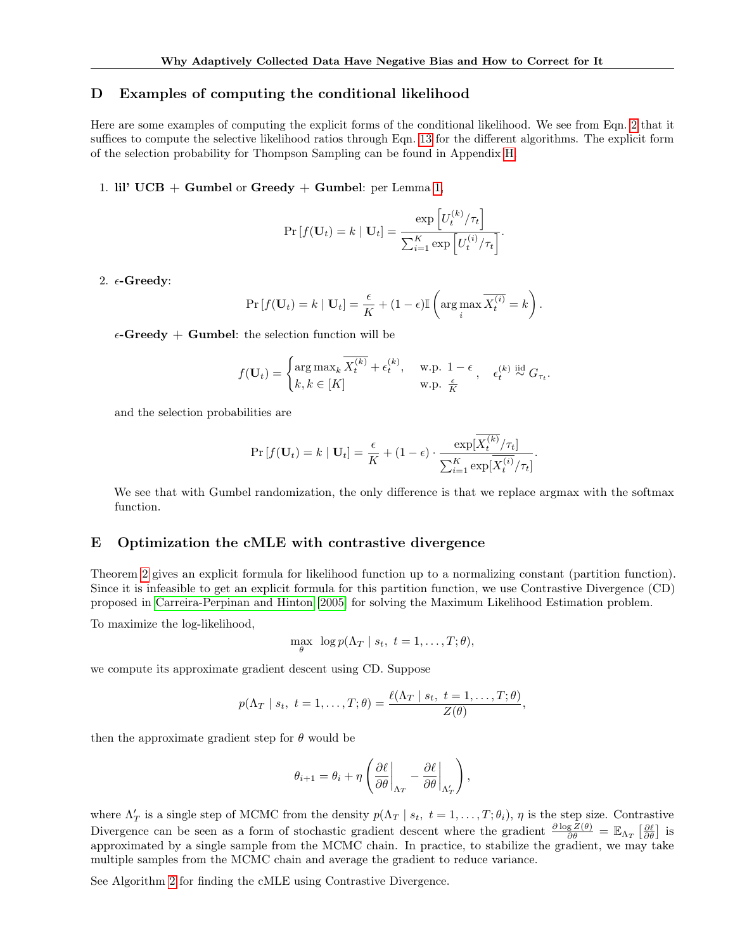#### <span id="page-13-1"></span>D Examples of computing the conditional likelihood

Here are some examples of computing the explicit forms of the conditional likelihood. We see from Eqn. [2](#page-5-0) that it suffices to compute the selective likelihood ratios through Eqn. [13](#page-12-1) for the different algorithms. The explicit form of the selection probability for Thompson Sampling can be found in Appendix [H.](#page-15-0)

1. lil'  $UCB + Gumbel$  or  $Greedy + Gumbel$ : per Lemma [1,](#page-14-0)

$$
\Pr\left[f(\mathbf{U}_t) = k \mid \mathbf{U}_t\right] = \frac{\exp\left[U_t^{(k)}/\tau_t\right]}{\sum_{i=1}^K \exp\left[U_t^{(i)}/\tau_t\right]}.
$$

2.  $\epsilon$ -Greedy:

$$
\Pr[f(\mathbf{U}_t) = k \mid \mathbf{U}_t] = \frac{\epsilon}{K} + (1 - \epsilon) \mathbb{I} \left( \arg \max_i \overline{X_t^{(i)}} = k \right).
$$

 $\epsilon$ -Greedy + Gumbel: the selection function will be

$$
f(\mathbf{U}_t) = \begin{cases} \arg \max_k \overline{X_t^{(k)}} + \epsilon_t^{(k)}, & \text{w.p. } 1 - \epsilon \\ k, k \in [K] & \text{w.p. } \frac{\epsilon}{K} \end{cases}, \quad \epsilon_t^{(k)} \stackrel{\text{iid}}{\sim} G_{\tau_t}.
$$

and the selection probabilities are

$$
\Pr[f(\mathbf{U}_t) = k \mid \mathbf{U}_t] = \frac{\epsilon}{K} + (1 - \epsilon) \cdot \frac{\exp[\overline{X_t^{(k)}}/\tau_t]}{\sum_{i=1}^K \exp[\overline{X_t^{(i)}}/\tau_t]}.
$$

We see that with Gumbel randomization, the only difference is that we replace argmax with the softmax function.

#### <span id="page-13-0"></span>E Optimization the cMLE with contrastive divergence

Theorem [2](#page-5-1) gives an explicit formula for likelihood function up to a normalizing constant (partition function). Since it is infeasible to get an explicit formula for this partition function, we use Contrastive Divergence (CD) proposed in [Carreira-Perpinan and Hinton](#page-8-18) [\[2005\]](#page-8-18) for solving the Maximum Likelihood Estimation problem.

To maximize the log-likelihood,

$$
\max_{\theta} \ \log p(\Lambda_T \mid s_t, \ t = 1, \ldots, T; \theta),
$$

we compute its approximate gradient descent using CD. Suppose

$$
p(\Lambda_T \mid s_t, t = 1,\ldots,T;\theta) = \frac{\ell(\Lambda_T \mid s_t, t = 1,\ldots,T;\theta)}{Z(\theta)},
$$

then the approximate gradient step for  $\theta$  would be

$$
\theta_{i+1} = \theta_i + \eta \left( \frac{\partial \ell}{\partial \theta} \bigg|_{\Lambda_T} - \frac{\partial \ell}{\partial \theta} \bigg|_{\Lambda_T'} \right),\,
$$

where  $\Lambda'_T$  is a single step of MCMC from the density  $p(\Lambda_T | s_t, t = 1, ..., T; \theta_i)$ ,  $\eta$  is the step size. Contrastive Divergence can be seen as a form of stochastic gradient descent where the gradient  $\frac{\partial \log Z(\theta)}{\partial \theta} = \mathbb{E}_{\Lambda_T} \left[ \frac{\partial \ell}{\partial \theta} \right]$  is approximated by a single sample from the MCMC chain. In practice, to stabilize the gradient, we may take multiple samples from the MCMC chain and average the gradient to reduce variance.

See Algorithm [2](#page-14-2) for finding the cMLE using Contrastive Divergence.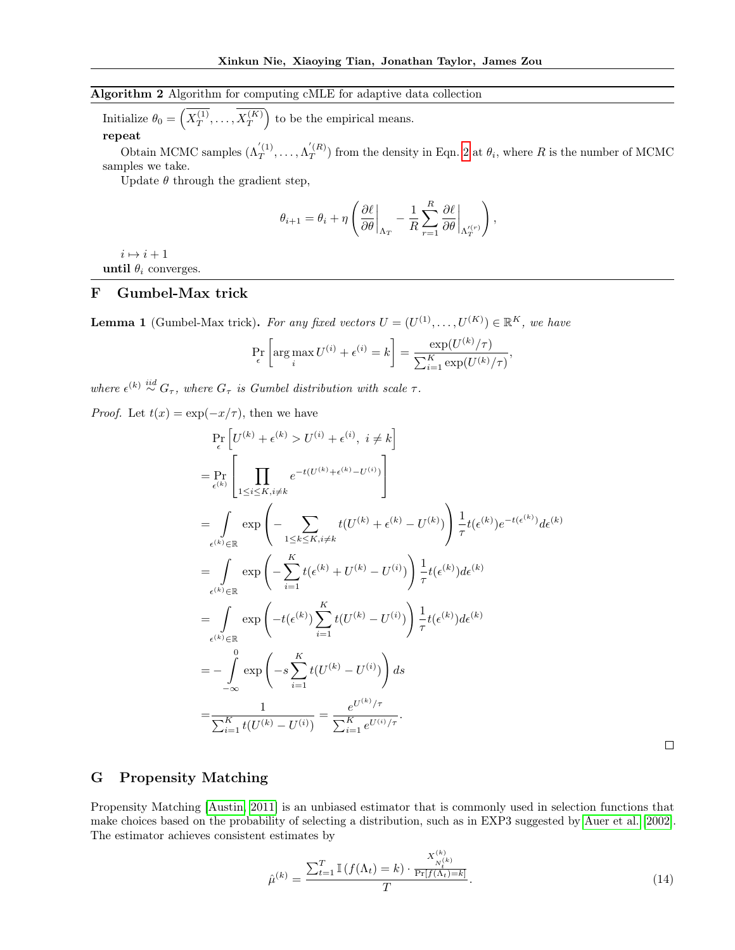## <span id="page-14-2"></span>Algorithm 2 Algorithm for computing cMLE for adaptive data collection

Initialize  $\theta_0 = \left(\overline{X}^{(1)}_T\right)$  $X^{(1)}_T,\ldots,X^{(K)}_T$  $\overline{\binom{K}{T}}$  to be the empirical means. repeat

Obtain MCMC samples  $(\Lambda_T^{'(1)})$  $\Lambda_T^{'(1)},\ldots,\Lambda_T^{'(R)}$  $T^{(R)}$  from the density in Eqn. [2](#page-5-0) at  $\theta_i$ , where R is the number of MCMC samples we take.

Update  $\theta$  through the gradient step,

$$
\theta_{i+1} = \theta_i + \eta \left( \frac{\partial \ell}{\partial \theta} \bigg|_{\Lambda_T} - \frac{1}{R} \sum_{r=1}^R \frac{\partial \ell}{\partial \theta} \bigg|_{\Lambda_T^{(r)}} \right),
$$

 $i \mapsto i + 1$ until  $\theta_i$  converges.

## <span id="page-14-1"></span>F Gumbel-Max trick

<span id="page-14-0"></span>**Lemma 1** (Gumbel-Max trick). For any fixed vectors  $U = (U^{(1)}, \ldots, U^{(K)}) \in \mathbb{R}^K$ , we have

$$
\Pr_{\epsilon} \left[ \arg \max_{i} U^{(i)} + \epsilon^{(i)} = k \right] = \frac{\exp(U^{(k)}/\tau)}{\sum_{i=1}^{K} \exp(U^{(k)}/\tau)},
$$

where  $\epsilon^{(k)} \stackrel{iid}{\sim} G_{\tau}$ , where  $G_{\tau}$  is Gumbel distribution with scale  $\tau$ .

*Proof.* Let  $t(x) = \exp(-x/\tau)$ , then we have

$$
\Pr_{\epsilon} \left[ U^{(k)} + \epsilon^{(k)} > U^{(i)} + \epsilon^{(i)}, \ i \neq k \right]
$$
\n
$$
= \Pr_{\epsilon^{(k)}} \left[ \prod_{1 \leq i \leq K, i \neq k} e^{-t(U^{(k)} + \epsilon^{(k)} - U^{(i)})} \right]
$$
\n
$$
= \int_{\epsilon^{(k)} \in \mathbb{R}} \exp \left( - \sum_{1 \leq k \leq K, i \neq k} t(U^{(k)} + \epsilon^{(k)} - U^{(k)}) \right) \frac{1}{\tau} t(\epsilon^{(k)}) e^{-t(\epsilon^{(k)})} d\epsilon^{(k)}
$$
\n
$$
= \int_{\epsilon^{(k)} \in \mathbb{R}} \exp \left( - \sum_{i=1}^K t(\epsilon^{(k)} + U^{(k)} - U^{(i)}) \right) \frac{1}{\tau} t(\epsilon^{(k)}) d\epsilon^{(k)}
$$
\n
$$
= \int_{\epsilon^{(k)} \in \mathbb{R}} \exp \left( -t(\epsilon^{(k)}) \sum_{i=1}^K t(U^{(k)} - U^{(i)}) \right) \frac{1}{\tau} t(\epsilon^{(k)}) d\epsilon^{(k)}
$$
\n
$$
= - \int_{-\infty}^0 \exp \left( -s \sum_{i=1}^K t(U^{(k)} - U^{(i)}) \right) ds
$$
\n
$$
= \frac{1}{\sum_{i=1}^K t(U^{(k)} - U^{(i)})} = \frac{e^{U^{(k)}/\tau}}{\sum_{i=1}^K e^{U^{(i)}/\tau}}.
$$

 $\Box$ 

## <span id="page-14-3"></span>G Propensity Matching

Propensity Matching [\[Austin, 2011\]](#page-8-19) is an unbiased estimator that is commonly used in selection functions that make choices based on the probability of selecting a distribution, such as in EXP3 suggested by [Auer et al.](#page-8-20) [\[2002\]](#page-8-20). The estimator achieves consistent estimates by

$$
\hat{\mu}^{(k)} = \frac{\sum_{t=1}^{T} \mathbb{I}\left(f(\Lambda_t) = k\right) \cdot \frac{X_{N_t^{(k)}}^{(k)}}{\Pr[f(\Lambda_t) = k]}}{T}.\tag{14}
$$

 $\lambda$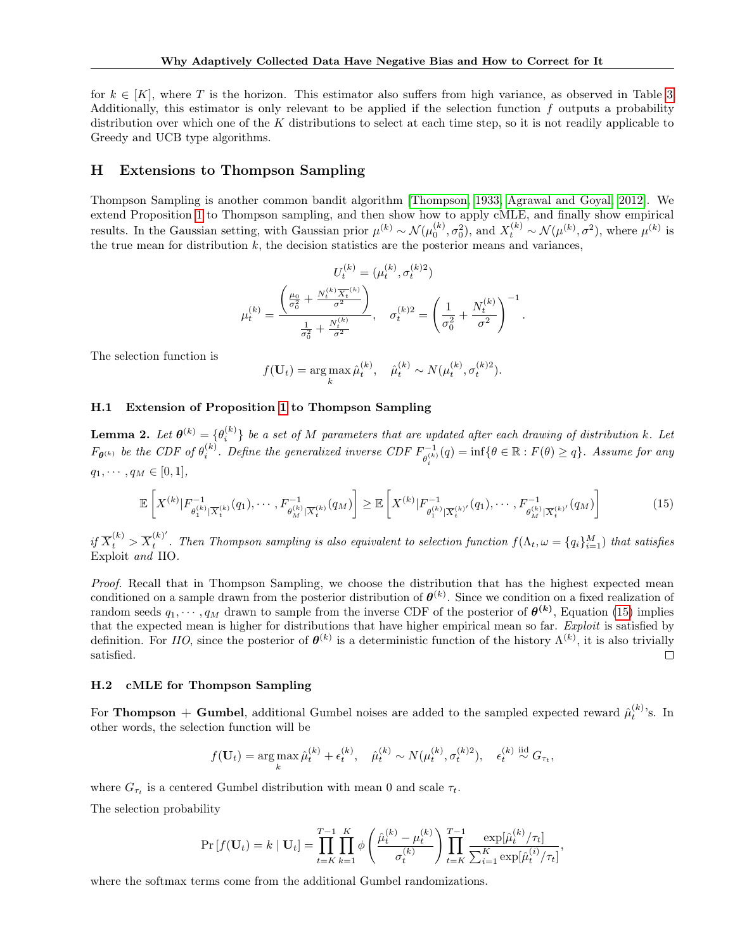for  $k \in [K]$ , where T is the horizon. This estimator also suffers from high variance, as observed in Table [3.](#page-7-1) Additionally, this estimator is only relevant to be applied if the selection function f outputs a probability distribution over which one of the K distributions to select at each time step, so it is not readily applicable to Greedy and UCB type algorithms.

#### <span id="page-15-0"></span>H Extensions to Thompson Sampling

Thompson Sampling is another common bandit algorithm [\[Thompson, 1933,](#page-8-9) [Agrawal and Goyal, 2012\]](#page-8-10). We extend Proposition [1](#page-2-0) to Thompson sampling, and then show how to apply cMLE, and finally show empirical results. In the Gaussian setting, with Gaussian prior  $\mu^{(k)} \sim \mathcal{N}(\mu_0^{(k)}, \sigma_0^2)$ , and  $X_t^{(k)} \sim \mathcal{N}(\mu^{(k)}, \sigma^2)$ , where  $\mu^{(k)}$  is the true mean for distribution  $k$ , the decision statistics are the posterior means and variances,

$$
U_t^{(k)} = (\mu_t^{(k)}, \sigma_t^{(k)2})
$$

$$
\mu_t^{(k)} = \frac{\left(\frac{\mu_0}{\sigma_0^2} + \frac{N_t^{(k)}\overline{X_t}^{(k)}}{\sigma^2}\right)}{\frac{1}{\sigma_0^2} + \frac{N_t^{(k)}}{\sigma^2}}, \quad \sigma_t^{(k)2} = \left(\frac{1}{\sigma_0^2} + \frac{N_t^{(k)}}{\sigma^2}\right)^{-1}.
$$

The selection function is

$$
f(\mathbf{U}_t) = \arg\max_k \hat{\mu}_t^{(k)}, \quad \hat{\mu}_t^{(k)} \sim N(\mu_t^{(k)}, \sigma_t^{(k)2}).
$$

#### H.1 Extension of Proposition [1](#page-2-0) to Thompson Sampling

**Lemma 2.** Let  $\theta^{(k)} = \{\theta_i^{(k)}\}$  be a set of M parameters that are updated after each drawing of distribution k. Let  $F_{\theta^{(k)}}$  be the CDF of  $\theta_i^{(k)}$ . Define the generalized inverse CDF  $F_{\theta^{(k)}}^{-1}$  $\theta_{\theta_i}^{-1}(q) = \inf \{ \theta \in \mathbb{R} : F(\theta) \geq q \}.$  Assume for any  $q_1, \cdots, q_M \in [0,1],$ 

<span id="page-15-1"></span>
$$
\mathbb{E}\left[X^{(k)}|F_{\theta_1^{(k)}|\overline{X}_t^{(k)}}(q_1),\cdots,F_{\theta_M^{(k)}|\overline{X}_t^{(k)}}(q_M)\right] \geq \mathbb{E}\left[X^{(k)}|F_{\theta_1^{(k)}|\overline{X}_t^{(k)}}(q_1),\cdots,F_{\theta_M^{(k)}|\overline{X}_t^{(k)}}(q_M)\right]
$$
(15)

 $if \overline{X}_t^{(k)} > \overline{X}_t^{(k)'}$  $t_t^{(k)}$ . Then Thompson sampling is also equivalent to selection function  $f(\Lambda_t, \omega = \{q_i\}_{i=1}^M)$  that satisfies Exploit and IIO.

Proof. Recall that in Thompson Sampling, we choose the distribution that has the highest expected mean conditioned on a sample drawn from the posterior distribution of  $\theta^{(k)}$ . Since we condition on a fixed realization of random seeds  $q_1, \dots, q_M$  drawn to sample from the inverse CDF of the posterior of  $\theta^{(k)}$ , Equation [\(15\)](#page-15-1) implies that the expected mean is higher for distributions that have higher empirical mean so far. Exploit is satisfied by definition. For *IIO*, since the posterior of  $\theta^{(k)}$  is a deterministic function of the history  $\Lambda^{(k)}$ , it is also trivially satisfied.  $\Box$ 

#### H.2 cMLE for Thompson Sampling

For **Thompson** + Gumbel, additional Gumbel noises are added to the sampled expected reward  $\hat{\mu}_t^{(k)}$ 's. In other words, the selection function will be

$$
f(\mathbf{U}_t) = \arg\max_k \hat{\mu}_t^{(k)} + \epsilon_t^{(k)}, \quad \hat{\mu}_t^{(k)} \sim N(\mu_t^{(k)}, \sigma_t^{(k)2}), \quad \epsilon_t^{(k)} \stackrel{\text{iid}}{\sim} G_{\tau_t},
$$

where  $G_{\tau_t}$  is a centered Gumbel distribution with mean 0 and scale  $\tau_t$ .

The selection probability

$$
\Pr[f(\mathbf{U}_t) = k \mid \mathbf{U}_t] = \prod_{t=K}^{T-1} \prod_{k=1}^K \phi \left( \frac{\hat{\mu}_t^{(k)} - \mu_t^{(k)}}{\sigma_t^{(k)}} \right) \prod_{t=K}^{T-1} \frac{\exp[\hat{\mu}_t^{(k)}/\tau_t]}{\sum_{i=1}^K \exp[\hat{\mu}_t^{(i)}/\tau_t]},
$$

where the softmax terms come from the additional Gumbel randomizations.